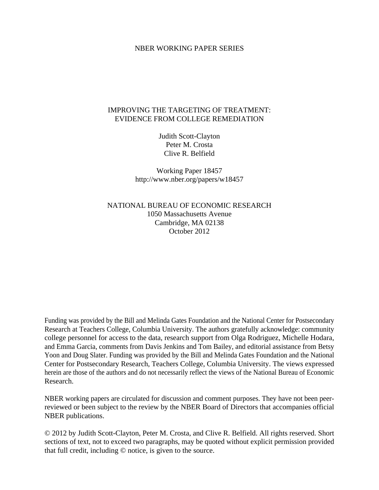## NBER WORKING PAPER SERIES

## IMPROVING THE TARGETING OF TREATMENT: EVIDENCE FROM COLLEGE REMEDIATION

Judith Scott-Clayton Peter M. Crosta Clive R. Belfield

Working Paper 18457 http://www.nber.org/papers/w18457

NATIONAL BUREAU OF ECONOMIC RESEARCH 1050 Massachusetts Avenue Cambridge, MA 02138 October 2012

Funding was provided by the Bill and Melinda Gates Foundation and the National Center for Postsecondary Research at Teachers College, Columbia University. The authors gratefully acknowledge: community college personnel for access to the data, research support from Olga Rodriguez, Michelle Hodara, and Emma Garcia, comments from Davis Jenkins and Tom Bailey, and editorial assistance from Betsy Yoon and Doug Slater. Funding was provided by the Bill and Melinda Gates Foundation and the National Center for Postsecondary Research, Teachers College, Columbia University. The views expressed herein are those of the authors and do not necessarily reflect the views of the National Bureau of Economic Research.

NBER working papers are circulated for discussion and comment purposes. They have not been peerreviewed or been subject to the review by the NBER Board of Directors that accompanies official NBER publications.

© 2012 by Judith Scott-Clayton, Peter M. Crosta, and Clive R. Belfield. All rights reserved. Short sections of text, not to exceed two paragraphs, may be quoted without explicit permission provided that full credit, including © notice, is given to the source.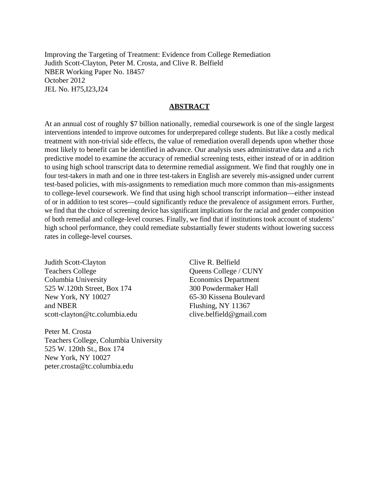Improving the Targeting of Treatment: Evidence from College Remediation Judith Scott-Clayton, Peter M. Crosta, and Clive R. Belfield NBER Working Paper No. 18457 October 2012 JEL No. H75,I23,J24

### **ABSTRACT**

At an annual cost of roughly \$7 billion nationally, remedial coursework is one of the single largest interventions intended to improve outcomes for underprepared college students. But like a costly medical treatment with non-trivial side effects, the value of remediation overall depends upon whether those most likely to benefit can be identified in advance. Our analysis uses administrative data and a rich predictive model to examine the accuracy of remedial screening tests, either instead of or in addition to using high school transcript data to determine remedial assignment. We find that roughly one in four test-takers in math and one in three test-takers in English are severely mis-assigned under current test-based policies, with mis-assignments to remediation much more common than mis-assignments to college-level coursework. We find that using high school transcript information—either instead of or in addition to test scores—could significantly reduce the prevalence of assignment errors. Further, we find that the choice of screening device has significant implications for the racial and gender composition of both remedial and college-level courses. Finally, we find that if institutions took account of students' high school performance, they could remediate substantially fewer students without lowering success rates in college-level courses.

Judith Scott-Clayton Teachers College Columbia University 525 W.120th Street, Box 174 New York, NY 10027 and NBER scott-clayton@tc.columbia.edu

Peter M. Crosta Teachers College, Columbia University 525 W. 120th St., Box 174 New York, NY 10027 peter.crosta@tc.columbia.edu

Clive R. Belfield Queens College / CUNY Economics Department 300 Powdermaker Hall 65-30 Kissena Boulevard Flushing, NY 11367 clive.belfield@gmail.com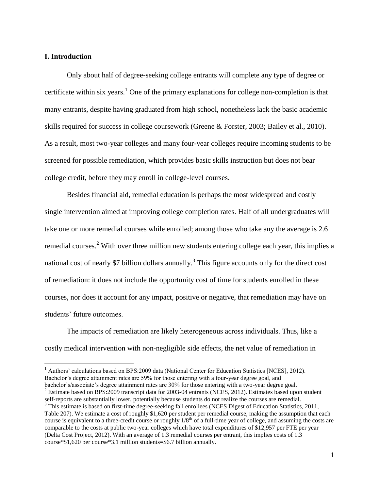## **I. Introduction**

 $\overline{a}$ 

Only about half of degree-seeking college entrants will complete any type of degree or certificate within six years.<sup>1</sup> One of the primary explanations for college non-completion is that many entrants, despite having graduated from high school, nonetheless lack the basic academic skills required for success in college coursework (Greene & Forster, 2003; Bailey et al., 2010). As a result, most two-year colleges and many four-year colleges require incoming students to be screened for possible remediation, which provides basic skills instruction but does not bear college credit, before they may enroll in college-level courses.

Besides financial aid, remedial education is perhaps the most widespread and costly single intervention aimed at improving college completion rates. Half of all undergraduates will take one or more remedial courses while enrolled; among those who take any the average is 2.6 remedial courses.<sup>2</sup> With over three million new students entering college each year, this implies a national cost of nearly \$7 billion dollars annually.<sup>3</sup> This figure accounts only for the direct cost of remediation: it does not include the opportunity cost of time for students enrolled in these courses, nor does it account for any impact, positive or negative, that remediation may have on students' future outcomes.

The impacts of remediation are likely heterogeneous across individuals. Thus, like a costly medical intervention with non-negligible side effects, the net value of remediation in

<sup>2</sup> Estimate based on BPS:2009 transcript data for 2003-04 entrants (NCES, 2012). Estimates based upon student self-reports are substantially lower, potentially because students do not realize the courses are remedial.

<sup>&</sup>lt;sup>1</sup> Authors' calculations based on BPS:2009 data (National Center for Education Statistics [NCES], 2012). Bachelor's degree attainment rates are 59% for those entering with a four-year degree goal, and bachelor's/associate's degree attainment rates are 30% for those entering with a two-year degree goal.

<sup>&</sup>lt;sup>3</sup> This estimate is based on first-time degree-seeking fall enrollees (NCES Digest of Education Statistics, 2011, Table 207). We estimate a cost of roughly \$1,620 per student per remedial course, making the assumption that each course is equivalent to a three-credit course or roughly  $1/8<sup>th</sup>$  of a full-time year of college, and assuming the costs are comparable to the costs at public two-year colleges which have total expenditures of \$12,957 per FTE per year (Delta Cost Project, 2012). With an average of 1.3 remedial courses per entrant, this implies costs of 1.3 course\*\$1,620 per course\*3.1 million students=\$6.7 billion annually.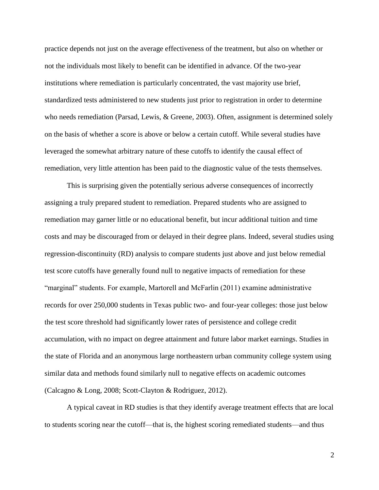practice depends not just on the average effectiveness of the treatment, but also on whether or not the individuals most likely to benefit can be identified in advance. Of the two-year institutions where remediation is particularly concentrated, the vast majority use brief, standardized tests administered to new students just prior to registration in order to determine who needs remediation (Parsad, Lewis, & Greene, 2003). Often, assignment is determined solely on the basis of whether a score is above or below a certain cutoff. While several studies have leveraged the somewhat arbitrary nature of these cutoffs to identify the causal effect of remediation, very little attention has been paid to the diagnostic value of the tests themselves.

This is surprising given the potentially serious adverse consequences of incorrectly assigning a truly prepared student to remediation. Prepared students who are assigned to remediation may garner little or no educational benefit, but incur additional tuition and time costs and may be discouraged from or delayed in their degree plans. Indeed, several studies using regression-discontinuity (RD) analysis to compare students just above and just below remedial test score cutoffs have generally found null to negative impacts of remediation for these "marginal" students. For example, Martorell and McFarlin (2011) examine administrative records for over 250,000 students in Texas public two- and four-year colleges: those just below the test score threshold had significantly lower rates of persistence and college credit accumulation, with no impact on degree attainment and future labor market earnings. Studies in the state of Florida and an anonymous large northeastern urban community college system using similar data and methods found similarly null to negative effects on academic outcomes (Calcagno & Long, 2008; Scott-Clayton & Rodriguez, 2012).

A typical caveat in RD studies is that they identify average treatment effects that are local to students scoring near the cutoff—that is, the highest scoring remediated students—and thus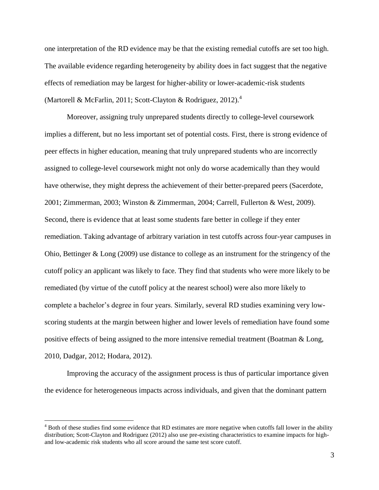one interpretation of the RD evidence may be that the existing remedial cutoffs are set too high. The available evidence regarding heterogeneity by ability does in fact suggest that the negative effects of remediation may be largest for higher-ability or lower-academic-risk students (Martorell & McFarlin, 2011; Scott-Clayton & Rodriguez, 2012).<sup>4</sup>

Moreover, assigning truly unprepared students directly to college-level coursework implies a different, but no less important set of potential costs. First, there is strong evidence of peer effects in higher education, meaning that truly unprepared students who are incorrectly assigned to college-level coursework might not only do worse academically than they would have otherwise, they might depress the achievement of their better-prepared peers (Sacerdote, 2001; Zimmerman, 2003; Winston & Zimmerman, 2004; Carrell, Fullerton & West, 2009). Second, there is evidence that at least some students fare better in college if they enter remediation. Taking advantage of arbitrary variation in test cutoffs across four-year campuses in Ohio, Bettinger & Long (2009) use distance to college as an instrument for the stringency of the cutoff policy an applicant was likely to face. They find that students who were more likely to be remediated (by virtue of the cutoff policy at the nearest school) were also more likely to complete a bachelor's degree in four years. Similarly, several RD studies examining very lowscoring students at the margin between higher and lower levels of remediation have found some positive effects of being assigned to the more intensive remedial treatment (Boatman & Long, 2010, Dadgar, 2012; Hodara, 2012).

Improving the accuracy of the assignment process is thus of particular importance given the evidence for heterogeneous impacts across individuals, and given that the dominant pattern

<sup>&</sup>lt;sup>4</sup> Both of these studies find some evidence that RD estimates are more negative when cutoffs fall lower in the ability distribution; Scott-Clayton and Rodriguez (2012) also use pre-existing characteristics to examine impacts for highand low-academic risk students who all score around the same test score cutoff.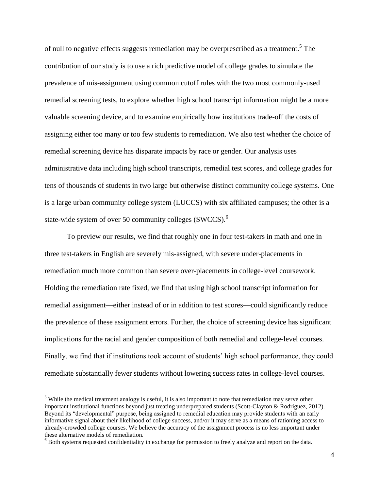of null to negative effects suggests remediation may be overprescribed as a treatment.<sup>5</sup> The contribution of our study is to use a rich predictive model of college grades to simulate the prevalence of mis-assignment using common cutoff rules with the two most commonly-used remedial screening tests, to explore whether high school transcript information might be a more valuable screening device, and to examine empirically how institutions trade-off the costs of assigning either too many or too few students to remediation. We also test whether the choice of remedial screening device has disparate impacts by race or gender. Our analysis uses administrative data including high school transcripts, remedial test scores, and college grades for tens of thousands of students in two large but otherwise distinct community college systems. One is a large urban community college system (LUCCS) with six affiliated campuses; the other is a state-wide system of over 50 community colleges (SWCCS).<sup>6</sup>

To preview our results, we find that roughly one in four test-takers in math and one in three test-takers in English are severely mis-assigned, with severe under-placements in remediation much more common than severe over-placements in college-level coursework. Holding the remediation rate fixed, we find that using high school transcript information for remedial assignment—either instead of or in addition to test scores—could significantly reduce the prevalence of these assignment errors. Further, the choice of screening device has significant implications for the racial and gender composition of both remedial and college-level courses. Finally, we find that if institutions took account of students' high school performance, they could remediate substantially fewer students without lowering success rates in college-level courses.

 $<sup>5</sup>$  While the medical treatment analogy is useful, it is also important to note that remediation may serve other</sup> important institutional functions beyond just treating underprepared students (Scott-Clayton & Rodriguez, 2012). Beyond its "developmental" purpose, being assigned to remedial education may provide students with an early informative signal about their likelihood of college success, and/or it may serve as a means of rationing access to already-crowded college courses. We believe the accuracy of the assignment process is no less important under these alternative models of remediation.

<sup>&</sup>lt;sup>6</sup> Both systems requested confidentiality in exchange for permission to freely analyze and report on the data.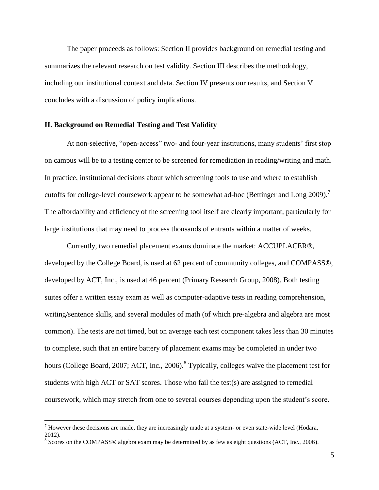The paper proceeds as follows: Section II provides background on remedial testing and summarizes the relevant research on test validity. Section III describes the methodology, including our institutional context and data. Section IV presents our results, and Section V concludes with a discussion of policy implications.

#### **II. Background on Remedial Testing and Test Validity**

At non-selective, "open-access" two- and four-year institutions, many students' first stop on campus will be to a testing center to be screened for remediation in reading/writing and math. In practice, institutional decisions about which screening tools to use and where to establish cutoffs for college-level coursework appear to be somewhat ad-hoc (Bettinger and Long 2009).<sup>7</sup> The affordability and efficiency of the screening tool itself are clearly important, particularly for large institutions that may need to process thousands of entrants within a matter of weeks.

Currently, two remedial placement exams dominate the market: ACCUPLACER®, developed by the College Board, is used at 62 percent of community colleges, and COMPASS®, developed by ACT, Inc., is used at 46 percent (Primary Research Group, 2008). Both testing suites offer a written essay exam as well as computer-adaptive tests in reading comprehension, writing/sentence skills, and several modules of math (of which pre-algebra and algebra are most common). The tests are not timed, but on average each test component takes less than 30 minutes to complete, such that an entire battery of placement exams may be completed in under two hours (College Board, 2007; ACT, Inc., 2006). <sup>8</sup> Typically, colleges waive the placement test for students with high ACT or SAT scores. Those who fail the test(s) are assigned to remedial coursework, which may stretch from one to several courses depending upon the student's score.

<sup>&</sup>lt;sup>7</sup> However these decisions are made, they are increasingly made at a system- or even state-wide level (Hodara, 2012).

 $8$  Scores on the COMPASS® algebra exam may be determined by as few as eight questions (ACT, Inc., 2006).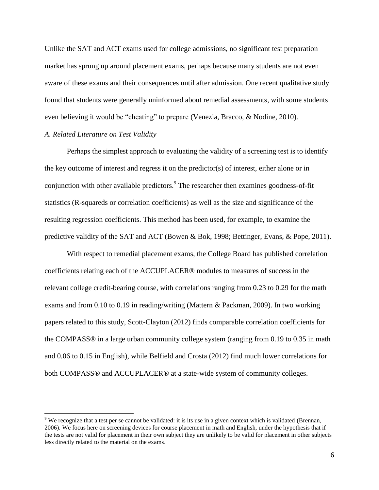Unlike the SAT and ACT exams used for college admissions, no significant test preparation market has sprung up around placement exams, perhaps because many students are not even aware of these exams and their consequences until after admission. One recent qualitative study found that students were generally uninformed about remedial assessments, with some students even believing it would be "cheating" to prepare (Venezia, Bracco, & Nodine, 2010).

#### *A. Related Literature on Test Validity*

 $\overline{a}$ 

Perhaps the simplest approach to evaluating the validity of a screening test is to identify the key outcome of interest and regress it on the predictor(s) of interest, either alone or in conjunction with other available predictors.<sup>9</sup> The researcher then examines goodness-of-fit statistics (R-squareds or correlation coefficients) as well as the size and significance of the resulting regression coefficients. This method has been used, for example, to examine the predictive validity of the SAT and ACT (Bowen & Bok, 1998; Bettinger, Evans, & Pope, 2011).

With respect to remedial placement exams, the College Board has published correlation coefficients relating each of the ACCUPLACER® modules to measures of success in the relevant college credit-bearing course, with correlations ranging from 0.23 to 0.29 for the math exams and from 0.10 to 0.19 in reading/writing (Mattern & Packman, 2009). In two working papers related to this study, Scott-Clayton (2012) finds comparable correlation coefficients for the COMPASS® in a large urban community college system (ranging from 0.19 to 0.35 in math and 0.06 to 0.15 in English), while Belfield and Crosta (2012) find much lower correlations for both COMPASS® and ACCUPLACER® at a state-wide system of community colleges.

<sup>&</sup>lt;sup>9</sup> We recognize that a test per se cannot be validated: it is its use in a given context which is validated (Brennan, 2006). We focus here on screening devices for course placement in math and English, under the hypothesis that if the tests are not valid for placement in their own subject they are unlikely to be valid for placement in other subjects less directly related to the material on the exams.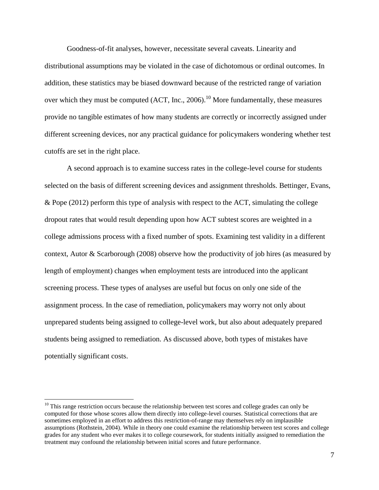Goodness-of-fit analyses, however, necessitate several caveats. Linearity and distributional assumptions may be violated in the case of dichotomous or ordinal outcomes. In addition, these statistics may be biased downward because of the restricted range of variation over which they must be computed  $(ACT, Inc., 2006).$ <sup>10</sup> More fundamentally, these measures provide no tangible estimates of how many students are correctly or incorrectly assigned under different screening devices, nor any practical guidance for policymakers wondering whether test cutoffs are set in the right place.

A second approach is to examine success rates in the college-level course for students selected on the basis of different screening devices and assignment thresholds. Bettinger, Evans, & Pope (2012) perform this type of analysis with respect to the ACT, simulating the college dropout rates that would result depending upon how ACT subtest scores are weighted in a college admissions process with a fixed number of spots. Examining test validity in a different context, Autor & Scarborough (2008) observe how the productivity of job hires (as measured by length of employment) changes when employment tests are introduced into the applicant screening process. These types of analyses are useful but focus on only one side of the assignment process. In the case of remediation, policymakers may worry not only about unprepared students being assigned to college-level work, but also about adequately prepared students being assigned to remediation. As discussed above, both types of mistakes have potentially significant costs.

 $10$  This range restriction occurs because the relationship between test scores and college grades can only be computed for those whose scores allow them directly into college-level courses. Statistical corrections that are sometimes employed in an effort to address this restriction-of-range may themselves rely on implausible assumptions (Rothstein, 2004). While in theory one could examine the relationship between test scores and college grades for any student who ever makes it to college coursework, for students initially assigned to remediation the treatment may confound the relationship between initial scores and future performance.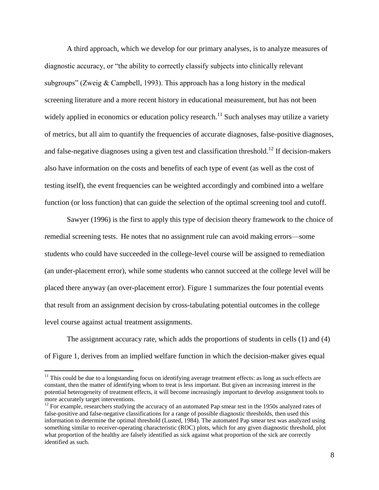A third approach, which we develop for our primary analyses, is to analyze measures of diagnostic accuracy, or "the ability to correctly classify subjects into clinically relevant subgroups" (Zweig & Campbell, 1993). This approach has a long history in the medical screening literature and a more recent history in educational measurement, but has not been widely applied in economics or education policy research.<sup>11</sup> Such analyses may utilize a variety of metrics, but all aim to quantify the frequencies of accurate diagnoses, false-positive diagnoses, and false-negative diagnoses using a given test and classification threshold.<sup>12</sup> If decision-makers also have information on the costs and benefits of each type of event (as well as the cost of testing itself), the event frequencies can be weighted accordingly and combined into a welfare function (or loss function) that can guide the selection of the optimal screening tool and cutoff.

Sawyer (1996) is the first to apply this type of decision theory framework to the choice of remedial screening tests. He notes that no assignment rule can avoid making errors—some students who could have succeeded in the college-level course will be assigned to remediation (an under-placement error), while some students who cannot succeed at the college level will be placed there anyway (an over-placement error). Figure 1 summarizes the four potential events that result from an assignment decision by cross-tabulating potential outcomes in the college level course against actual treatment assignments.

The assignment accuracy rate, which adds the proportions of students in cells (1) and (4) of Figure 1, derives from an implied welfare function in which the decision-maker gives equal

 $11$  This could be due to a longstanding focus on identifying average treatment effects: as long as such effects are constant, then the matter of identifying whom to treat is less important. But given an increasing interest in the potential heterogeneity of treatment effects, it will become increasingly important to develop assignment tools to more accurately target interventions.

 $12$  For example, researchers studying the accuracy of an automated Pap smear test in the 1950s analyzed rates of false-positive and false-negative classifications for a range of possible diagnostic thresholds, then used this information to determine the optimal threshold (Lusted, 1984). The automated Pap smear test was analyzed using something similar to receiver-operating characteristic (ROC) plots, which for any given diagnostic threshold, plot what proportion of the healthy are falsely identified as sick against what proportion of the sick are correctly identified as such.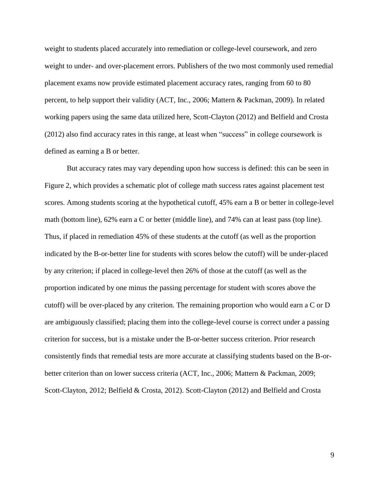weight to students placed accurately into remediation or college-level coursework, and zero weight to under- and over-placement errors. Publishers of the two most commonly used remedial placement exams now provide estimated placement accuracy rates, ranging from 60 to 80 percent, to help support their validity (ACT, Inc., 2006; Mattern & Packman, 2009). In related working papers using the same data utilized here, Scott-Clayton (2012) and Belfield and Crosta (2012) also find accuracy rates in this range, at least when "success" in college coursework is defined as earning a B or better.

But accuracy rates may vary depending upon how success is defined: this can be seen in Figure 2, which provides a schematic plot of college math success rates against placement test scores. Among students scoring at the hypothetical cutoff, 45% earn a B or better in college-level math (bottom line), 62% earn a C or better (middle line), and 74% can at least pass (top line). Thus, if placed in remediation 45% of these students at the cutoff (as well as the proportion indicated by the B-or-better line for students with scores below the cutoff) will be under-placed by any criterion; if placed in college-level then 26% of those at the cutoff (as well as the proportion indicated by one minus the passing percentage for student with scores above the cutoff) will be over-placed by any criterion. The remaining proportion who would earn a C or D are ambiguously classified; placing them into the college-level course is correct under a passing criterion for success, but is a mistake under the B-or-better success criterion. Prior research consistently finds that remedial tests are more accurate at classifying students based on the B-orbetter criterion than on lower success criteria (ACT, Inc., 2006; Mattern & Packman, 2009; Scott-Clayton, 2012; Belfield & Crosta, 2012). Scott-Clayton (2012) and Belfield and Crosta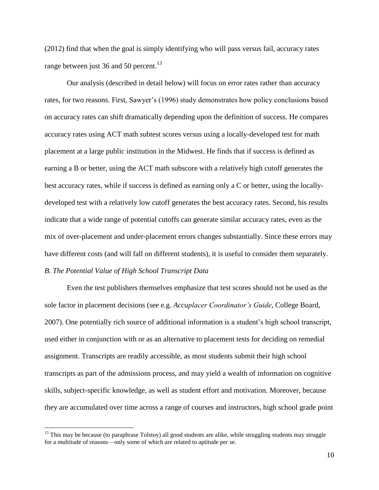(2012) find that when the goal is simply identifying who will pass versus fail, accuracy rates range between just 36 and 50 percent.<sup>13</sup>

Our analysis (described in detail below) will focus on error rates rather than accuracy rates, for two reasons. First, Sawyer's (1996) study demonstrates how policy conclusions based on accuracy rates can shift dramatically depending upon the definition of success. He compares accuracy rates using ACT math subtest scores versus using a locally-developed test for math placement at a large public institution in the Midwest. He finds that if success is defined as earning a B or better, using the ACT math subscore with a relatively high cutoff generates the best accuracy rates, while if success is defined as earning only a C or better, using the locallydeveloped test with a relatively low cutoff generates the best accuracy rates. Second, his results indicate that a wide range of potential cutoffs can generate similar accuracy rates, even as the mix of over-placement and under-placement errors changes substantially. Since these errors may have different costs (and will fall on different students), it is useful to consider them separately. *B. The Potential Value of High School Transcript Data*

Even the test publishers themselves emphasize that test scores should not be used as the sole factor in placement decisions (see e.g. *Accuplacer Coordinator's Guide*, College Board, 2007). One potentially rich source of additional information is a student's high school transcript, used either in conjunction with or as an alternative to placement tests for deciding on remedial assignment. Transcripts are readily accessible, as most students submit their high school transcripts as part of the admissions process, and may yield a wealth of information on cognitive skills, subject-specific knowledge, as well as student effort and motivation. Moreover, because they are accumulated over time across a range of courses and instructors, high school grade point

 $13$  This may be because (to paraphrase Tolstoy) all good students are alike, while struggling students may struggle for a multitude of reasons—only some of which are related to aptitude per se.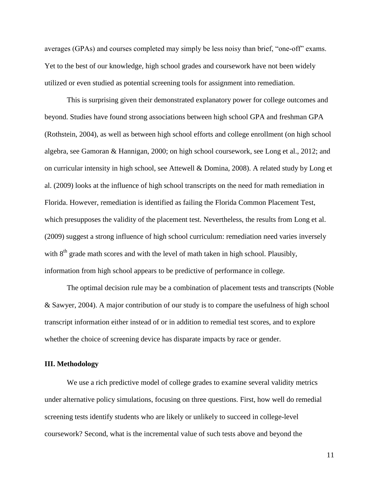averages (GPAs) and courses completed may simply be less noisy than brief, "one-off" exams. Yet to the best of our knowledge, high school grades and coursework have not been widely utilized or even studied as potential screening tools for assignment into remediation.

This is surprising given their demonstrated explanatory power for college outcomes and beyond. Studies have found strong associations between high school GPA and freshman GPA (Rothstein, 2004), as well as between high school efforts and college enrollment (on high school algebra, see Gamoran & Hannigan, 2000; on high school coursework, see Long et al., 2012; and on curricular intensity in high school, see Attewell & Domina, 2008). A related study by Long et al. (2009) looks at the influence of high school transcripts on the need for math remediation in Florida. However, remediation is identified as failing the Florida Common Placement Test, which presupposes the validity of the placement test. Nevertheless, the results from Long et al. (2009) suggest a strong influence of high school curriculum: remediation need varies inversely with  $8<sup>th</sup>$  grade math scores and with the level of math taken in high school. Plausibly, information from high school appears to be predictive of performance in college.

The optimal decision rule may be a combination of placement tests and transcripts (Noble & Sawyer, 2004). A major contribution of our study is to compare the usefulness of high school transcript information either instead of or in addition to remedial test scores, and to explore whether the choice of screening device has disparate impacts by race or gender.

## **III. Methodology**

We use a rich predictive model of college grades to examine several validity metrics under alternative policy simulations, focusing on three questions. First, how well do remedial screening tests identify students who are likely or unlikely to succeed in college-level coursework? Second, what is the incremental value of such tests above and beyond the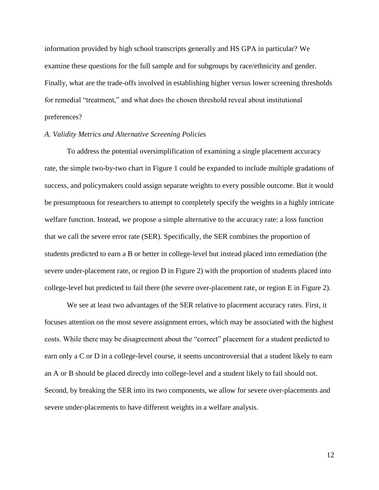information provided by high school transcripts generally and HS GPA in particular? We examine these questions for the full sample and for subgroups by race/ethnicity and gender. Finally, what are the trade-offs involved in establishing higher versus lower screening thresholds for remedial "treatment," and what does the chosen threshold reveal about institutional preferences?

## *A. Validity Metrics and Alternative Screening Policies*

To address the potential oversimplification of examining a single placement accuracy rate, the simple two-by-two chart in Figure 1 could be expanded to include multiple gradations of success, and policymakers could assign separate weights to every possible outcome. But it would be presumptuous for researchers to attempt to completely specify the weights in a highly intricate welfare function. Instead, we propose a simple alternative to the accuracy rate: a loss function that we call the severe error rate (SER). Specifically, the SER combines the proportion of students predicted to earn a B or better in college-level but instead placed into remediation (the severe under-placement rate, or region D in Figure 2) with the proportion of students placed into college-level but predicted to fail there (the severe over-placement rate, or region E in Figure 2).

We see at least two advantages of the SER relative to placement accuracy rates. First, it focuses attention on the most severe assignment errors, which may be associated with the highest costs. While there may be disagreement about the "correct" placement for a student predicted to earn only a C or D in a college-level course, it seems uncontroversial that a student likely to earn an A or B should be placed directly into college-level and a student likely to fail should not. Second, by breaking the SER into its two components, we allow for severe over-placements and severe under-placements to have different weights in a welfare analysis.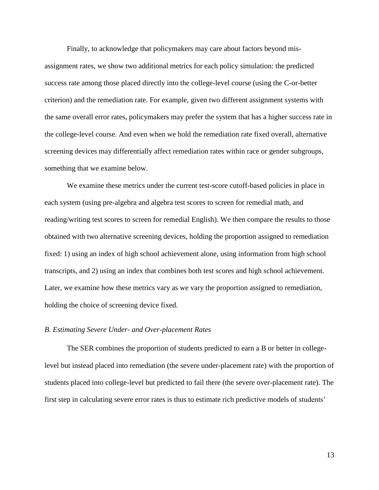Finally, to acknowledge that policymakers may care about factors beyond misassignment rates, we show two additional metrics for each policy simulation: the predicted success rate among those placed directly into the college-level course (using the C-or-better criterion) and the remediation rate. For example, given two different assignment systems with the same overall error rates, policymakers may prefer the system that has a higher success rate in the college-level course. And even when we hold the remediation rate fixed overall, alternative screening devices may differentially affect remediation rates within race or gender subgroups, something that we examine below.

We examine these metrics under the current test-score cutoff-based policies in place in each system (using pre-algebra and algebra test scores to screen for remedial math, and reading/writing test scores to screen for remedial English). We then compare the results to those obtained with two alternative screening devices, holding the proportion assigned to remediation fixed: 1) using an index of high school achievement alone, using information from high school transcripts, and 2) using an index that combines both test scores and high school achievement. Later, we examine how these metrics vary as we vary the proportion assigned to remediation, holding the choice of screening device fixed.

#### *B. Estimating Severe Under- and Over-placement Rates*

The SER combines the proportion of students predicted to earn a B or better in collegelevel but instead placed into remediation (the severe under-placement rate) with the proportion of students placed into college-level but predicted to fail there (the severe over-placement rate). The first step in calculating severe error rates is thus to estimate rich predictive models of students'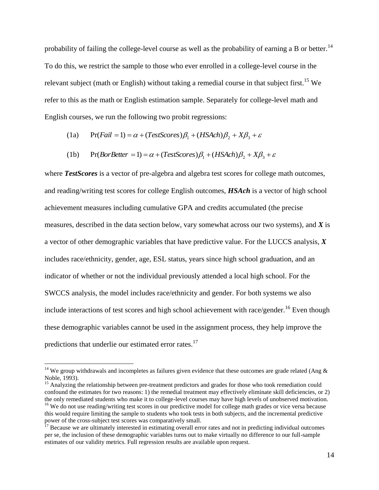probability of failing the college-level course as well as the probability of earning a B or better.<sup>14</sup> To do this, we restrict the sample to those who ever enrolled in a college-level course in the relevant subject (math or English) without taking a remedial course in that subject first.<sup>15</sup> We refer to this as the math or English estimation sample. Separately for college-level math and English courses, we run the following two probit regressions:

(1a) 
$$
Pr(Fail = 1) = \alpha + (TestScores)\beta_1 + (HSAch)\beta_2 + X\beta_3 + \varepsilon
$$

(1b) 
$$
Pr(Bor Better = 1) = \alpha + (Test scores)\beta_1 + (HSAch)\beta_2 + X\beta_3 + \varepsilon
$$

where *TestScores* is a vector of pre-algebra and algebra test scores for college math outcomes, and reading/writing test scores for college English outcomes, *HSAch* is a vector of high school achievement measures including cumulative GPA and credits accumulated (the precise measures, described in the data section below, vary somewhat across our two systems), and *X* is a vector of other demographic variables that have predictive value. For the LUCCS analysis, *X* includes race/ethnicity, gender, age, ESL status, years since high school graduation, and an indicator of whether or not the individual previously attended a local high school. For the SWCCS analysis, the model includes race/ethnicity and gender. For both systems we also include interactions of test scores and high school achievement with race/gender.<sup>16</sup> Even though these demographic variables cannot be used in the assignment process, they help improve the predictions that underlie our estimated error rates.<sup>17</sup>

<sup>&</sup>lt;sup>14</sup> We group withdrawals and incompletes as failures given evidence that these outcomes are grade related (Ang  $\&$ Noble, 1993).

<sup>&</sup>lt;sup>15</sup> Analyzing the relationship between pre-treatment predictors and grades for those who took remediation could confound the estimates for two reasons: 1) the remedial treatment may effectively eliminate skill deficiencies, or 2) the only remediated students who make it to college-level courses may have high levels of unobserved motivation. <sup>16</sup> We do not use reading/writing test scores in our predictive model for college math grades or vice versa because this would require limiting the sample to students who took tests in both subjects, and the incremental predictive power of the cross-subject test scores was comparatively small.

 $17$  Because we are ultimately interested in estimating overall error rates and not in predicting individual outcomes per se, the inclusion of these demographic variables turns out to make virtually no difference to our full-sample estimates of our validity metrics. Full regression results are available upon request.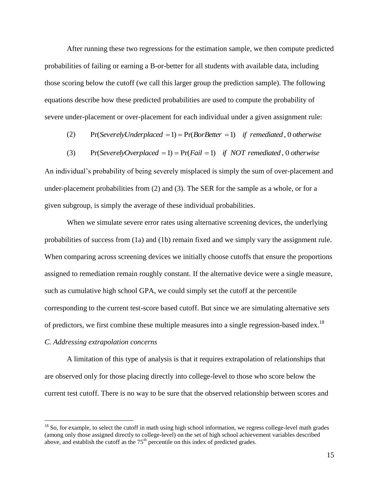After running these two regressions for the estimation sample, we then compute predicted probabilities of failing or earning a B-or-better for all students with available data, including those scoring below the cutoff (we call this larger group the prediction sample). The following equations describe how these predicted probabilities are used to compute the probability of severe under-placement or over-placement for each individual under a given assignment rule:

- (2)  $Pr(SeverelyUnderplaced = 1) = Pr(Bor Better = 1)$  *if remediated*, 0 *otherwise*
- (3)  $Pr(SeverelyOverplaced = 1) = Pr(Fail = 1)$  *if NOT remediated*, 0 *otherwise*

An individual's probability of being severely misplaced is simply the sum of over-placement and under-placement probabilities from (2) and (3). The SER for the sample as a whole, or for a given subgroup, is simply the average of these individual probabilities.

When we simulate severe error rates using alternative screening devices, the underlying probabilities of success from (1a) and (1b) remain fixed and we simply vary the assignment rule. When comparing across screening devices we initially choose cutoffs that ensure the proportions assigned to remediation remain roughly constant. If the alternative device were a single measure, such as cumulative high school GPA, we could simply set the cutoff at the percentile corresponding to the current test-score based cutoff. But since we are simulating alternative *sets* of predictors, we first combine these multiple measures into a single regression-based index.<sup>18</sup> *C. Addressing extrapolation concerns*

A limitation of this type of analysis is that it requires extrapolation of relationships that are observed only for those placing directly into college-level to those who score below the current test cutoff. There is no way to be sure that the observed relationship between scores and

 $<sup>18</sup>$  So, for example, to select the cutoff in math using high school information, we regress college-level math grades</sup> (among only those assigned directly to college-level) on the set of high school achievement variables described above, and establish the cutoff as the  $75<sup>th</sup>$  percentile on this index of predicted grades.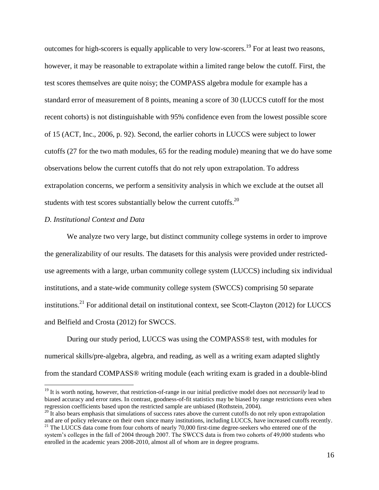outcomes for high-scorers is equally applicable to very low-scorers.<sup>19</sup> For at least two reasons, however, it may be reasonable to extrapolate within a limited range below the cutoff. First, the test scores themselves are quite noisy; the COMPASS algebra module for example has a standard error of measurement of 8 points, meaning a score of 30 (LUCCS cutoff for the most recent cohorts) is not distinguishable with 95% confidence even from the lowest possible score of 15 (ACT, Inc., 2006, p. 92). Second, the earlier cohorts in LUCCS were subject to lower cutoffs (27 for the two math modules, 65 for the reading module) meaning that we do have some observations below the current cutoffs that do not rely upon extrapolation. To address extrapolation concerns, we perform a sensitivity analysis in which we exclude at the outset all students with test scores substantially below the current cutoffs.<sup>20</sup>

#### *D. Institutional Context and Data*

 $\overline{a}$ 

We analyze two very large, but distinct community college systems in order to improve the generalizability of our results. The datasets for this analysis were provided under restricteduse agreements with a large, urban community college system (LUCCS) including six individual institutions, and a state-wide community college system (SWCCS) comprising 50 separate institutions.<sup>21</sup> For additional detail on institutional context, see Scott-Clayton (2012) for LUCCS and Belfield and Crosta (2012) for SWCCS.

During our study period, LUCCS was using the COMPASS® test, with modules for numerical skills/pre-algebra, algebra, and reading, as well as a writing exam adapted slightly from the standard COMPASS® writing module (each writing exam is graded in a double-blind

<sup>&</sup>lt;sup>19</sup> It is worth noting, however, that restriction-of-range in our initial predictive model does not *necessarily* lead to biased accuracy and error rates. In contrast, goodness-of-fit statistics may be biased by range restrictions even when regression coefficients based upon the restricted sample are unbiased (Rothstein, 2004).

 $20\text{ H}$  also bears emphasis that simulations of success rates above the current cutoffs do not rely upon extrapolation and are of policy relevance on their own since many institutions, including LUCCS, have increased cutoffs recently.

<sup>&</sup>lt;sup>21</sup> The LUCCS data come from four cohorts of nearly 70,000 first-time degree-seekers who entered one of the system's colleges in the fall of 2004 through 2007. The SWCCS data is from two cohorts of 49,000 students who enrolled in the academic years 2008-2010, almost all of whom are in degree programs.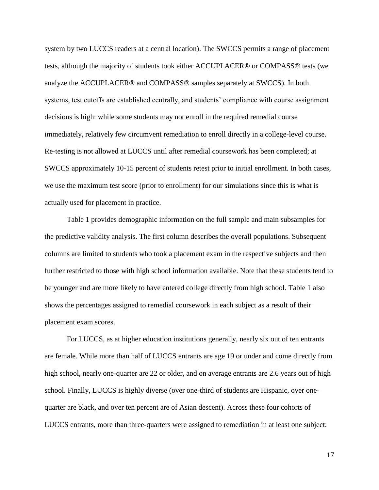system by two LUCCS readers at a central location). The SWCCS permits a range of placement tests, although the majority of students took either ACCUPLACER® or COMPASS® tests (we analyze the ACCUPLACER® and COMPASS® samples separately at SWCCS). In both systems, test cutoffs are established centrally, and students' compliance with course assignment decisions is high: while some students may not enroll in the required remedial course immediately, relatively few circumvent remediation to enroll directly in a college-level course. Re-testing is not allowed at LUCCS until after remedial coursework has been completed; at SWCCS approximately 10-15 percent of students retest prior to initial enrollment. In both cases, we use the maximum test score (prior to enrollment) for our simulations since this is what is actually used for placement in practice.

Table 1 provides demographic information on the full sample and main subsamples for the predictive validity analysis. The first column describes the overall populations. Subsequent columns are limited to students who took a placement exam in the respective subjects and then further restricted to those with high school information available. Note that these students tend to be younger and are more likely to have entered college directly from high school. Table 1 also shows the percentages assigned to remedial coursework in each subject as a result of their placement exam scores.

For LUCCS, as at higher education institutions generally, nearly six out of ten entrants are female. While more than half of LUCCS entrants are age 19 or under and come directly from high school, nearly one-quarter are 22 or older, and on average entrants are 2.6 years out of high school. Finally, LUCCS is highly diverse (over one-third of students are Hispanic, over onequarter are black, and over ten percent are of Asian descent). Across these four cohorts of LUCCS entrants, more than three-quarters were assigned to remediation in at least one subject: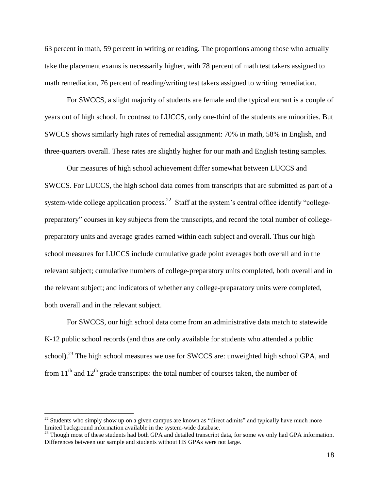63 percent in math, 59 percent in writing or reading. The proportions among those who actually take the placement exams is necessarily higher, with 78 percent of math test takers assigned to math remediation, 76 percent of reading/writing test takers assigned to writing remediation.

For SWCCS, a slight majority of students are female and the typical entrant is a couple of years out of high school. In contrast to LUCCS, only one-third of the students are minorities. But SWCCS shows similarly high rates of remedial assignment: 70% in math, 58% in English, and three-quarters overall. These rates are slightly higher for our math and English testing samples.

Our measures of high school achievement differ somewhat between LUCCS and SWCCS. For LUCCS, the high school data comes from transcripts that are submitted as part of a system-wide college application process.<sup>22</sup> Staff at the system's central office identify "collegepreparatory" courses in key subjects from the transcripts, and record the total number of collegepreparatory units and average grades earned within each subject and overall. Thus our high school measures for LUCCS include cumulative grade point averages both overall and in the relevant subject; cumulative numbers of college-preparatory units completed, both overall and in the relevant subject; and indicators of whether any college-preparatory units were completed, both overall and in the relevant subject.

For SWCCS, our high school data come from an administrative data match to statewide K-12 public school records (and thus are only available for students who attended a public school).<sup>23</sup> The high school measures we use for SWCCS are: unweighted high school GPA, and from  $11<sup>th</sup>$  and  $12<sup>th</sup>$  grade transcripts: the total number of courses taken, the number of

 $22$  Students who simply show up on a given campus are known as "direct admits" and typically have much more limited background information available in the system-wide database.

 $^{23}$  Though most of these students had both GPA and detailed transcript data, for some we only had GPA information. Differences between our sample and students without HS GPAs were not large.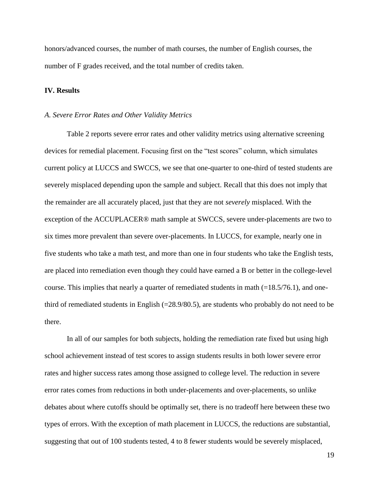honors/advanced courses, the number of math courses, the number of English courses, the number of F grades received, and the total number of credits taken.

### **IV. Results**

#### *A. Severe Error Rates and Other Validity Metrics*

Table 2 reports severe error rates and other validity metrics using alternative screening devices for remedial placement. Focusing first on the "test scores" column, which simulates current policy at LUCCS and SWCCS, we see that one-quarter to one-third of tested students are severely misplaced depending upon the sample and subject. Recall that this does not imply that the remainder are all accurately placed, just that they are not *severely* misplaced. With the exception of the ACCUPLACER® math sample at SWCCS, severe under-placements are two to six times more prevalent than severe over-placements. In LUCCS, for example, nearly one in five students who take a math test, and more than one in four students who take the English tests, are placed into remediation even though they could have earned a B or better in the college-level course. This implies that nearly a quarter of remediated students in math  $(=18.5/76.1)$ , and onethird of remediated students in English (=28.9/80.5), are students who probably do not need to be there.

In all of our samples for both subjects, holding the remediation rate fixed but using high school achievement instead of test scores to assign students results in both lower severe error rates and higher success rates among those assigned to college level. The reduction in severe error rates comes from reductions in both under-placements and over-placements, so unlike debates about where cutoffs should be optimally set, there is no tradeoff here between these two types of errors. With the exception of math placement in LUCCS, the reductions are substantial, suggesting that out of 100 students tested, 4 to 8 fewer students would be severely misplaced,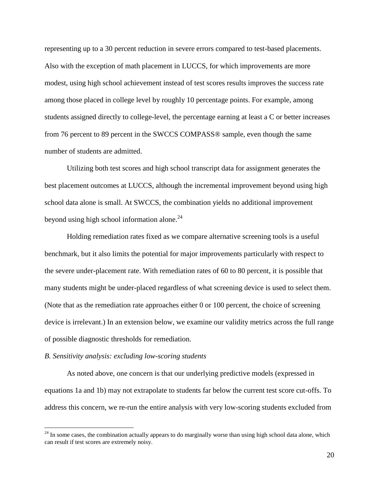representing up to a 30 percent reduction in severe errors compared to test-based placements. Also with the exception of math placement in LUCCS, for which improvements are more modest, using high school achievement instead of test scores results improves the success rate among those placed in college level by roughly 10 percentage points. For example, among students assigned directly to college-level, the percentage earning at least a C or better increases from 76 percent to 89 percent in the SWCCS COMPASS® sample, even though the same number of students are admitted.

Utilizing both test scores and high school transcript data for assignment generates the best placement outcomes at LUCCS, although the incremental improvement beyond using high school data alone is small. At SWCCS, the combination yields no additional improvement beyond using high school information alone.<sup>24</sup>

Holding remediation rates fixed as we compare alternative screening tools is a useful benchmark, but it also limits the potential for major improvements particularly with respect to the severe under-placement rate. With remediation rates of 60 to 80 percent, it is possible that many students might be under-placed regardless of what screening device is used to select them. (Note that as the remediation rate approaches either 0 or 100 percent, the choice of screening device is irrelevant.) In an extension below, we examine our validity metrics across the full range of possible diagnostic thresholds for remediation.

#### *B. Sensitivity analysis: excluding low-scoring students*

 $\overline{a}$ 

As noted above, one concern is that our underlying predictive models (expressed in equations 1a and 1b) may not extrapolate to students far below the current test score cut-offs. To address this concern, we re-run the entire analysis with very low-scoring students excluded from

 $24$  In some cases, the combination actually appears to do marginally worse than using high school data alone, which can result if test scores are extremely noisy.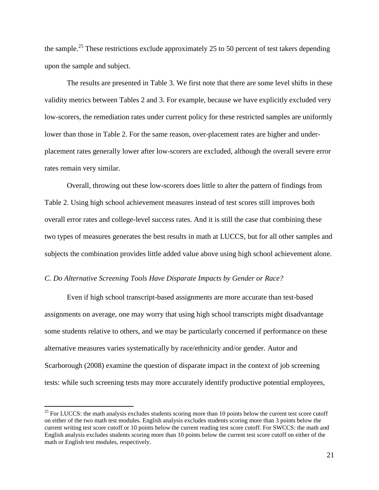the sample.<sup>25</sup> These restrictions exclude approximately 25 to 50 percent of test takers depending upon the sample and subject.

The results are presented in Table 3. We first note that there are some level shifts in these validity metrics between Tables 2 and 3. For example, because we have explicitly excluded very low-scorers, the remediation rates under current policy for these restricted samples are uniformly lower than those in Table 2. For the same reason, over-placement rates are higher and underplacement rates generally lower after low-scorers are excluded, although the overall severe error rates remain very similar.

Overall, throwing out these low-scorers does little to alter the pattern of findings from Table 2. Using high school achievement measures instead of test scores still improves both overall error rates and college-level success rates. And it is still the case that combining these two types of measures generates the best results in math at LUCCS, but for all other samples and subjects the combination provides little added value above using high school achievement alone.

## *C. Do Alternative Screening Tools Have Disparate Impacts by Gender or Race?*

 $\overline{a}$ 

Even if high school transcript-based assignments are more accurate than test-based assignments on average, one may worry that using high school transcripts might disadvantage some students relative to others, and we may be particularly concerned if performance on these alternative measures varies systematically by race/ethnicity and/or gender. Autor and Scarborough (2008) examine the question of disparate impact in the context of job screening tests: while such screening tests may more accurately identify productive potential employees,

 $25$  For LUCCS: the math analysis excludes students scoring more than 10 points below the current test score cutoff on either of the two math test modules. English analysis excludes students scoring more than 3 points below the current writing test score cutoff or 10 points below the current reading test score cutoff. For SWCCS: the math and English analysis excludes students scoring more than 10 points below the current test score cutoff on either of the math or English test modules, respectively.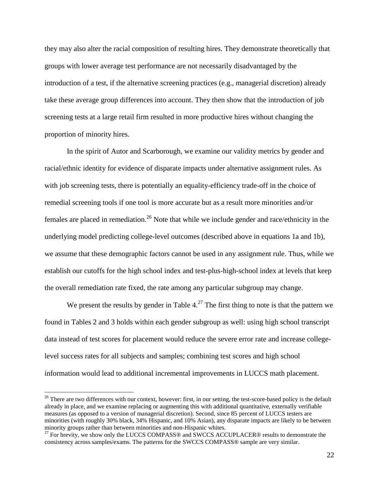they may also alter the racial composition of resulting hires. They demonstrate theoretically that groups with lower average test performance are not necessarily disadvantaged by the introduction of a test, if the alternative screening practices (e.g., managerial discretion) already take these average group differences into account. They then show that the introduction of job screening tests at a large retail firm resulted in more productive hires without changing the proportion of minority hires.

In the spirit of Autor and Scarborough, we examine our validity metrics by gender and racial/ethnic identity for evidence of disparate impacts under alternative assignment rules. As with job screening tests, there is potentially an equality-efficiency trade-off in the choice of remedial screening tools if one tool is more accurate but as a result more minorities and/or females are placed in remediation.<sup>26</sup> Note that while we include gender and race/ethnicity in the underlying model predicting college-level outcomes (described above in equations 1a and 1b), we assume that these demographic factors cannot be used in any assignment rule. Thus, while we establish our cutoffs for the high school index and test-plus-high-school index at levels that keep the overall remediation rate fixed, the rate among any particular subgroup may change.

We present the results by gender in Table  $4.^{27}$  The first thing to note is that the pattern we found in Tables 2 and 3 holds within each gender subgroup as well: using high school transcript data instead of test scores for placement would reduce the severe error rate and increase collegelevel success rates for all subjects and samples; combining test scores and high school information would lead to additional incremental improvements in LUCCS math placement.

 $26$  There are two differences with our context, however: first, in our setting, the test-score-based policy is the default already in place, and we examine replacing or augmenting this with additional quantitative, externally verifiable measures (as opposed to a version of managerial discretion). Second, since 85 percent of LUCCS testers are minorities (with roughly 30% black, 34% Hispanic, and 10% Asian), any disparate impacts are likely to be between minority groups rather than between minorities and non-Hispanic whites.

 $27$  For brevity, we show only the LUCCS COMPASS® and SWCCS ACCUPLACER® results to demonstrate the consistency across samples/exams. The patterns for the SWCCS COMPASS® sample are very similar.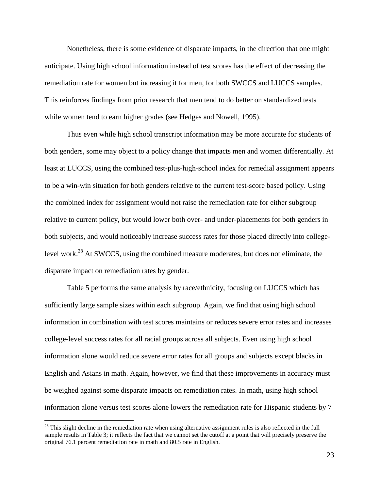Nonetheless, there is some evidence of disparate impacts, in the direction that one might anticipate. Using high school information instead of test scores has the effect of decreasing the remediation rate for women but increasing it for men, for both SWCCS and LUCCS samples. This reinforces findings from prior research that men tend to do better on standardized tests while women tend to earn higher grades (see Hedges and Nowell, 1995).

Thus even while high school transcript information may be more accurate for students of both genders, some may object to a policy change that impacts men and women differentially. At least at LUCCS, using the combined test-plus-high-school index for remedial assignment appears to be a win-win situation for both genders relative to the current test-score based policy. Using the combined index for assignment would not raise the remediation rate for either subgroup relative to current policy, but would lower both over- and under-placements for both genders in both subjects, and would noticeably increase success rates for those placed directly into collegelevel work.<sup>28</sup> At SWCCS, using the combined measure moderates, but does not eliminate, the disparate impact on remediation rates by gender.

Table 5 performs the same analysis by race/ethnicity, focusing on LUCCS which has sufficiently large sample sizes within each subgroup. Again, we find that using high school information in combination with test scores maintains or reduces severe error rates and increases college-level success rates for all racial groups across all subjects. Even using high school information alone would reduce severe error rates for all groups and subjects except blacks in English and Asians in math. Again, however, we find that these improvements in accuracy must be weighed against some disparate impacts on remediation rates. In math, using high school information alone versus test scores alone lowers the remediation rate for Hispanic students by 7

 $28$  This slight decline in the remediation rate when using alternative assignment rules is also reflected in the full sample results in Table 3; it reflects the fact that we cannot set the cutoff at a point that will precisely preserve the original 76.1 percent remediation rate in math and 80.5 rate in English.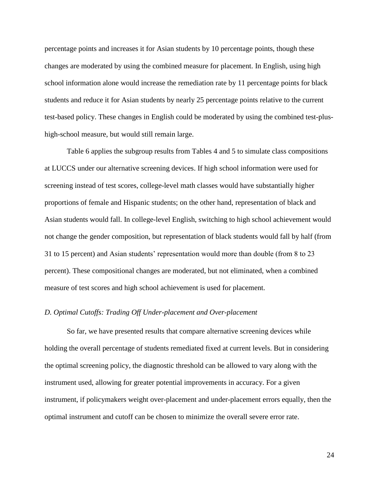percentage points and increases it for Asian students by 10 percentage points, though these changes are moderated by using the combined measure for placement. In English, using high school information alone would increase the remediation rate by 11 percentage points for black students and reduce it for Asian students by nearly 25 percentage points relative to the current test-based policy. These changes in English could be moderated by using the combined test-plushigh-school measure, but would still remain large.

Table 6 applies the subgroup results from Tables 4 and 5 to simulate class compositions at LUCCS under our alternative screening devices. If high school information were used for screening instead of test scores, college-level math classes would have substantially higher proportions of female and Hispanic students; on the other hand, representation of black and Asian students would fall. In college-level English, switching to high school achievement would not change the gender composition, but representation of black students would fall by half (from 31 to 15 percent) and Asian students' representation would more than double (from 8 to 23 percent). These compositional changes are moderated, but not eliminated, when a combined measure of test scores and high school achievement is used for placement.

#### *D. Optimal Cutoffs: Trading Off Under-placement and Over-placement*

So far, we have presented results that compare alternative screening devices while holding the overall percentage of students remediated fixed at current levels. But in considering the optimal screening policy, the diagnostic threshold can be allowed to vary along with the instrument used, allowing for greater potential improvements in accuracy. For a given instrument, if policymakers weight over-placement and under-placement errors equally, then the optimal instrument and cutoff can be chosen to minimize the overall severe error rate.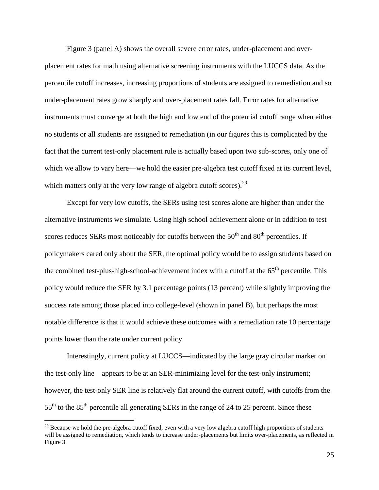Figure 3 (panel A) shows the overall severe error rates, under-placement and overplacement rates for math using alternative screening instruments with the LUCCS data. As the percentile cutoff increases, increasing proportions of students are assigned to remediation and so under-placement rates grow sharply and over-placement rates fall. Error rates for alternative instruments must converge at both the high and low end of the potential cutoff range when either no students or all students are assigned to remediation (in our figures this is complicated by the fact that the current test-only placement rule is actually based upon two sub-scores, only one of which we allow to vary here—we hold the easier pre-algebra test cutoff fixed at its current level, which matters only at the very low range of algebra cutoff scores).<sup>29</sup>

Except for very low cutoffs, the SERs using test scores alone are higher than under the alternative instruments we simulate. Using high school achievement alone or in addition to test scores reduces SERs most noticeably for cutoffs between the  $50<sup>th</sup>$  and  $80<sup>th</sup>$  percentiles. If policymakers cared only about the SER, the optimal policy would be to assign students based on the combined test-plus-high-school-achievement index with a cutoff at the  $65<sup>th</sup>$  percentile. This policy would reduce the SER by 3.1 percentage points (13 percent) while slightly improving the success rate among those placed into college-level (shown in panel B), but perhaps the most notable difference is that it would achieve these outcomes with a remediation rate 10 percentage points lower than the rate under current policy.

Interestingly, current policy at LUCCS—indicated by the large gray circular marker on the test-only line—appears to be at an SER-minimizing level for the test-only instrument; however, the test-only SER line is relatively flat around the current cutoff, with cutoffs from the 55<sup>th</sup> to the 85<sup>th</sup> percentile all generating SERs in the range of 24 to 25 percent. Since these

 $29$  Because we hold the pre-algebra cutoff fixed, even with a very low algebra cutoff high proportions of students will be assigned to remediation, which tends to increase under-placements but limits over-placements, as reflected in Figure 3.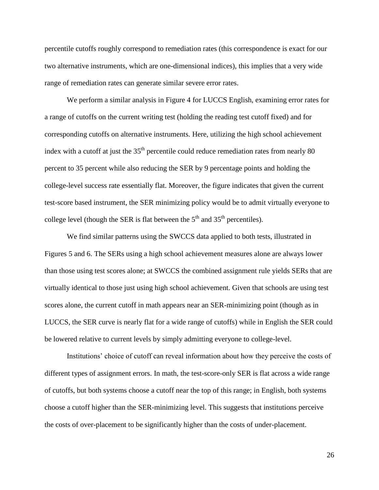percentile cutoffs roughly correspond to remediation rates (this correspondence is exact for our two alternative instruments, which are one-dimensional indices), this implies that a very wide range of remediation rates can generate similar severe error rates.

We perform a similar analysis in Figure 4 for LUCCS English, examining error rates for a range of cutoffs on the current writing test (holding the reading test cutoff fixed) and for corresponding cutoffs on alternative instruments. Here, utilizing the high school achievement index with a cutoff at just the  $35<sup>th</sup>$  percentile could reduce remediation rates from nearly 80 percent to 35 percent while also reducing the SER by 9 percentage points and holding the college-level success rate essentially flat. Moreover, the figure indicates that given the current test-score based instrument, the SER minimizing policy would be to admit virtually everyone to college level (though the SER is flat between the  $5<sup>th</sup>$  and  $35<sup>th</sup>$  percentiles).

We find similar patterns using the SWCCS data applied to both tests, illustrated in Figures 5 and 6. The SERs using a high school achievement measures alone are always lower than those using test scores alone; at SWCCS the combined assignment rule yields SERs that are virtually identical to those just using high school achievement. Given that schools are using test scores alone, the current cutoff in math appears near an SER-minimizing point (though as in LUCCS, the SER curve is nearly flat for a wide range of cutoffs) while in English the SER could be lowered relative to current levels by simply admitting everyone to college-level.

Institutions' choice of cutoff can reveal information about how they perceive the costs of different types of assignment errors. In math, the test-score-only SER is flat across a wide range of cutoffs, but both systems choose a cutoff near the top of this range; in English, both systems choose a cutoff higher than the SER-minimizing level. This suggests that institutions perceive the costs of over-placement to be significantly higher than the costs of under-placement.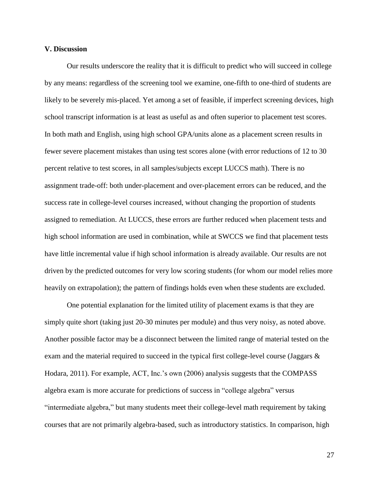#### **V. Discussion**

Our results underscore the reality that it is difficult to predict who will succeed in college by any means: regardless of the screening tool we examine, one-fifth to one-third of students are likely to be severely mis-placed. Yet among a set of feasible, if imperfect screening devices, high school transcript information is at least as useful as and often superior to placement test scores. In both math and English, using high school GPA/units alone as a placement screen results in fewer severe placement mistakes than using test scores alone (with error reductions of 12 to 30 percent relative to test scores, in all samples/subjects except LUCCS math). There is no assignment trade-off: both under-placement and over-placement errors can be reduced, and the success rate in college-level courses increased, without changing the proportion of students assigned to remediation. At LUCCS, these errors are further reduced when placement tests and high school information are used in combination, while at SWCCS we find that placement tests have little incremental value if high school information is already available. Our results are not driven by the predicted outcomes for very low scoring students (for whom our model relies more heavily on extrapolation); the pattern of findings holds even when these students are excluded.

One potential explanation for the limited utility of placement exams is that they are simply quite short (taking just 20-30 minutes per module) and thus very noisy, as noted above. Another possible factor may be a disconnect between the limited range of material tested on the exam and the material required to succeed in the typical first college-level course (Jaggars & Hodara, 2011). For example, ACT, Inc.'s own (2006) analysis suggests that the COMPASS algebra exam is more accurate for predictions of success in "college algebra" versus "intermediate algebra," but many students meet their college-level math requirement by taking courses that are not primarily algebra-based, such as introductory statistics. In comparison, high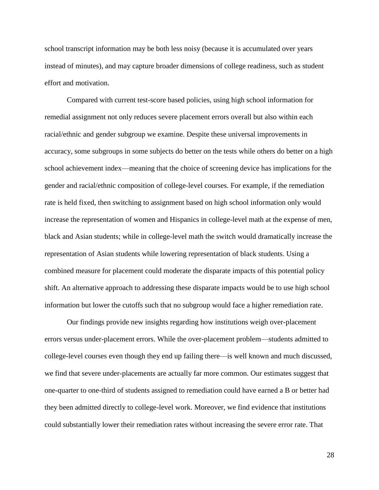school transcript information may be both less noisy (because it is accumulated over years instead of minutes), and may capture broader dimensions of college readiness, such as student effort and motivation.

Compared with current test-score based policies, using high school information for remedial assignment not only reduces severe placement errors overall but also within each racial/ethnic and gender subgroup we examine. Despite these universal improvements in accuracy, some subgroups in some subjects do better on the tests while others do better on a high school achievement index—meaning that the choice of screening device has implications for the gender and racial/ethnic composition of college-level courses. For example, if the remediation rate is held fixed, then switching to assignment based on high school information only would increase the representation of women and Hispanics in college-level math at the expense of men, black and Asian students; while in college-level math the switch would dramatically increase the representation of Asian students while lowering representation of black students. Using a combined measure for placement could moderate the disparate impacts of this potential policy shift. An alternative approach to addressing these disparate impacts would be to use high school information but lower the cutoffs such that no subgroup would face a higher remediation rate.

Our findings provide new insights regarding how institutions weigh over-placement errors versus under-placement errors. While the over-placement problem—students admitted to college-level courses even though they end up failing there—is well known and much discussed, we find that severe under-placements are actually far more common. Our estimates suggest that one-quarter to one-third of students assigned to remediation could have earned a B or better had they been admitted directly to college-level work. Moreover, we find evidence that institutions could substantially lower their remediation rates without increasing the severe error rate. That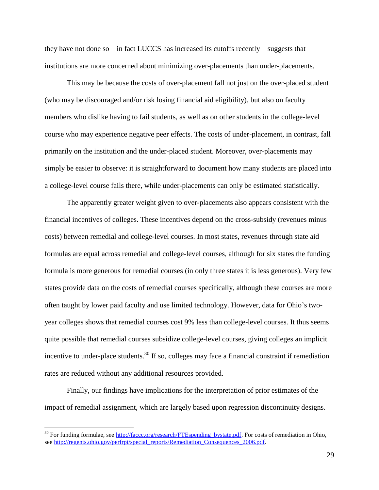they have not done so—in fact LUCCS has increased its cutoffs recently—suggests that institutions are more concerned about minimizing over-placements than under-placements.

This may be because the costs of over-placement fall not just on the over-placed student (who may be discouraged and/or risk losing financial aid eligibility), but also on faculty members who dislike having to fail students, as well as on other students in the college-level course who may experience negative peer effects. The costs of under-placement, in contrast, fall primarily on the institution and the under-placed student. Moreover, over-placements may simply be easier to observe: it is straightforward to document how many students are placed into a college-level course fails there, while under-placements can only be estimated statistically.

The apparently greater weight given to over-placements also appears consistent with the financial incentives of colleges. These incentives depend on the cross-subsidy (revenues minus costs) between remedial and college-level courses. In most states, revenues through state aid formulas are equal across remedial and college-level courses, although for six states the funding formula is more generous for remedial courses (in only three states it is less generous). Very few states provide data on the costs of remedial courses specifically, although these courses are more often taught by lower paid faculty and use limited technology. However, data for Ohio's twoyear colleges shows that remedial courses cost 9% less than college-level courses. It thus seems quite possible that remedial courses subsidize college-level courses, giving colleges an implicit incentive to under-place students.<sup>30</sup> If so, colleges may face a financial constraint if remediation rates are reduced without any additional resources provided.

Finally, our findings have implications for the interpretation of prior estimates of the impact of remedial assignment, which are largely based upon regression discontinuity designs.

<sup>&</sup>lt;sup>30</sup> For funding formulae, see [http://faccc.org/research/FTEspending\\_bystate.pdf.](http://faccc.org/research/FTEspending_bystate.pdf) For costs of remediation in Ohio, see [http://regents.ohio.gov/perfrpt/special\\_reports/Remediation\\_Consequences\\_2006.pdf.](http://regents.ohio.gov/perfrpt/special_reports/Remediation_Consequences_2006.pdf)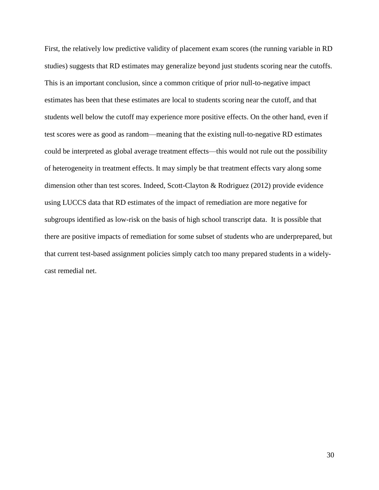First, the relatively low predictive validity of placement exam scores (the running variable in RD studies) suggests that RD estimates may generalize beyond just students scoring near the cutoffs. This is an important conclusion, since a common critique of prior null-to-negative impact estimates has been that these estimates are local to students scoring near the cutoff, and that students well below the cutoff may experience more positive effects. On the other hand, even if test scores were as good as random—meaning that the existing null-to-negative RD estimates could be interpreted as global average treatment effects—this would not rule out the possibility of heterogeneity in treatment effects. It may simply be that treatment effects vary along some dimension other than test scores. Indeed, Scott-Clayton & Rodriguez (2012) provide evidence using LUCCS data that RD estimates of the impact of remediation are more negative for subgroups identified as low-risk on the basis of high school transcript data. It is possible that there are positive impacts of remediation for some subset of students who are underprepared, but that current test-based assignment policies simply catch too many prepared students in a widelycast remedial net.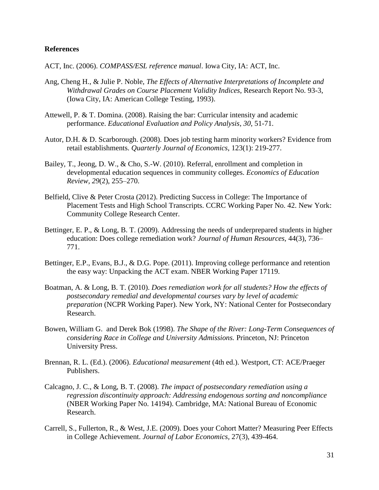## **References**

ACT, Inc. (2006). *COMPASS/ESL reference manual*. Iowa City, IA: ACT, Inc.

- Ang, Cheng H., & Julie P. Noble, *The Effects of Alternative Interpretations of Incomplete and Withdrawal Grades on Course Placement Validity Indices*, Research Report No. 93-3, (Iowa City, IA: American College Testing, 1993).
- Attewell, P. & T. Domina. (2008). Raising the bar: Curricular intensity and academic performance. *Educational Evaluation and Policy Analysis*, *30*, 51-71.
- Autor, D.H. & D. Scarborough. (2008). Does job testing harm minority workers? Evidence from retail establishments. *Quarterly Journal of Economics*, 123(1): 219-277.
- Bailey, T., Jeong, D. W., & Cho, S.-W. (2010). Referral, enrollment and completion in developmental education sequences in community colleges. *Economics of Education Review, 29*(2), 255–270.
- Belfield, Clive & Peter Crosta (2012). Predicting Success in College: The Importance of Placement Tests and High School Transcripts. CCRC Working Paper No. 42. New York: Community College Research Center.
- Bettinger, E. P., & Long, B. T. (2009). Addressing the needs of underprepared students in higher education: Does college remediation work? *Journal of Human Resources,* 44(3), 736– 771.
- Bettinger, E.P., Evans, B.J., & D.G. Pope. (2011). Improving college performance and retention the easy way: Unpacking the ACT exam. NBER Working Paper 17119.
- Boatman, A. & Long, B. T. (2010). *Does remediation work for all students? How the effects of postsecondary remedial and developmental courses vary by level of academic preparation* (NCPR Working Paper). New York, NY: National Center for Postsecondary Research.
- Bowen, William G. and Derek Bok (1998). *The Shape of the River: Long-Term Consequences of considering Race in College and University Admissions.* Princeton, NJ: Princeton University Press.
- Brennan, R. L. (Ed.). (2006). *Educational measurement* (4th ed.). Westport, CT: ACE/Praeger Publishers.
- Calcagno, J. C., & Long, B. T. (2008). *The impact of postsecondary remediation using a regression discontinuity approach: Addressing endogenous sorting and noncompliance* (NBER Working Paper No. 14194). Cambridge, MA: National Bureau of Economic Research.
- Carrell, S., Fullerton, R., & West, J.E. (2009). Does your Cohort Matter? Measuring Peer Effects in College Achievement. *Journal of Labor Economics,* 27(3), 439-464.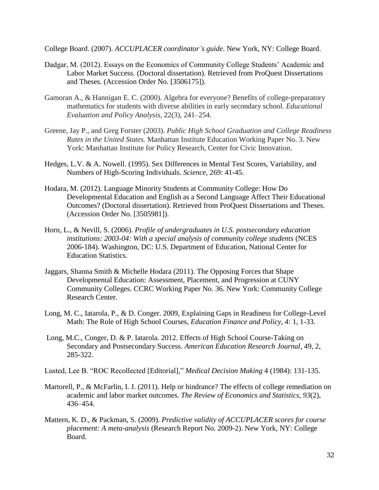College Board. (2007). *ACCUPLACER coordinator's guide*. New York, NY: College Board.

- Dadgar, M. (2012). Essays on the Economics of Community College Students' Academic and Labor Market Success. (Doctoral dissertation). Retrieved from ProQuest Dissertations and Theses. (Accession Order No. [3506175]).
- Gamoran A., & Hannigan E. C. (2000). Algebra for everyone? Benefits of college-preparatory mathematics for students with diverse abilities in early secondary school. *Educational Evaluation and Policy Analysis*, 22(3), 241–254.
- Greene, Jay P., and Greg Forster (2003). *Public High School Graduation and College Readiness Rates in the United States.* Manhattan Institute Education Working Paper No. 3. New York: Manhattan Institute for Policy Research, Center for Civic Innovation.
- Hedges, L.V. & A. Nowell. (1995). Sex Differences in Mental Test Scores, Variability, and Numbers of High-Scoring Individuals. *Science*, 269: 41-45.
- Hodara, M. (2012). Language Minority Students at Community College: How Do Developmental Education and English as a Second Language Affect Their Educational Outcomes? (Doctoral dissertation). Retrieved from ProQuest Dissertations and Theses. (Accession Order No. [3505981]).
- Horn, L., & Nevill, S. (2006). *Profile of undergraduates in U.S. postsecondary education institutions: 2003-04: With a special analysis of community college students* (NCES 2006-184). Washington, DC: U.S. Department of Education, National Center for Education Statistics.
- Jaggars, Shanna Smith & Michelle Hodara (2011). The Opposing Forces that Shape Developmental Education: Assessment, Placement, and Progression at CUNY Community Colleges. CCRC Working Paper No. 36. New York: Community College Research Center.
- Long, M. C., Iatarola, P., & D. Conger. 2009, Explaining Gaps in Readiness for College-Level Math: The Role of High School Courses, *Education Finance and Policy*, 4: 1, 1-33.
- Long, M.C., Conger, D. & P. Iatarola. 2012. Effects of High School Course-Taking on Secondary and Postsecondary Success. *American Education Research Journal*, 49, 2, 285-322.
- Lusted, Lee B. "ROC Recollected [Editorial]," *Medical Decision Making* 4 (1984): 131-135.
- Martorell, P., & McFarlin, I. J. (2011). Help or hindrance? The effects of college remediation on academic and labor market outcomes. *The Review of Economics and Statistics, 93*(2), 436–454.
- Mattern, K. D., & Packman, S. (2009). *Predictive validity of ACCUPLACER scores for course placement: A meta-analysis* (Research Report No. 2009-2). New York, NY: College Board.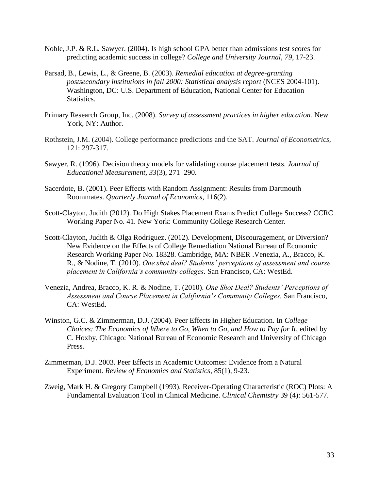- Noble, J.P. & R.L. Sawyer. (2004). Is high school GPA better than admissions test scores for predicting academic success in college? *College and University Journal*, *79*, 17-23.
- Parsad, B., Lewis, L., & Greene, B. (2003). *Remedial education at degree-granting postsecondary institutions in fall 2000: Statistical analysis report* (NCES 2004-101). Washington, DC: U.S. Department of Education, National Center for Education Statistics.
- Primary Research Group, Inc. (2008). *Survey of assessment practices in higher education.* New York, NY: Author.
- Rothstein, J.M. (2004). College performance predictions and the SAT. *Journal of Econometrics*, 121: 297-317.
- Sawyer, R. (1996). Decision theory models for validating course placement tests. *Journal of Educational Measurement, 33*(3), 271–290.
- Sacerdote, B. (2001). Peer Effects with Random Assignment: Results from Dartmouth Roommates. *Quarterly Journal of Economics*, 116(2).
- Scott-Clayton, Judith (2012). Do High Stakes Placement Exams Predict College Success? CCRC Working Paper No. 41. New York: Community College Research Center.
- Scott-Clayton, Judith & Olga Rodriguez. (2012). Development, Discouragement, or Diversion? New Evidence on the Effects of College Remediation National Bureau of Economic Research Working Paper No. 18328. Cambridge, MA: NBER .Venezia, A., Bracco, K. R., & Nodine, T. (2010). *One shot deal? Students' perceptions of assessment and course placement in California's community colleges*. San Francisco, CA: WestEd.
- Venezia, Andrea, Bracco, K. R. & Nodine, T. (2010). *One Shot Deal? Students' Perceptions of Assessment and Course Placement in California's Community Colleges.* San Francisco, CA: WestEd.
- Winston, G.C. & Zimmerman, D.J. (2004). Peer Effects in Higher Education. In *College Choices: The Economics of Where to Go, When to Go, and How to Pay for It, edited by* C. Hoxby. Chicago: National Bureau of Economic Research and University of Chicago Press.
- Zimmerman, D.J. 2003. Peer Effects in Academic Outcomes: Evidence from a Natural Experiment. *Review of Economics and Statistics*, 85(1), 9-23.
- Zweig, Mark H. & Gregory Campbell (1993). Receiver-Operating Characteristic (ROC) Plots: A Fundamental Evaluation Tool in Clinical Medicine. *Clinical Chemistry* 39 (4): 561-577.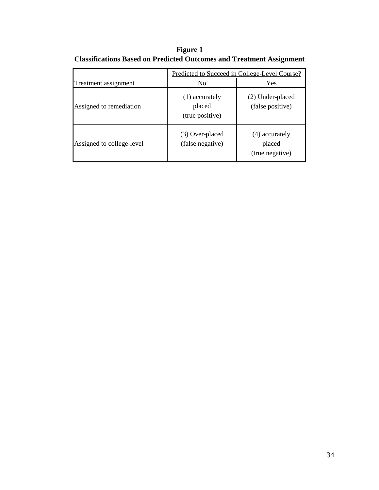**Figure 1 Classifications Based on Predicted Outcomes and Treatment Assignment**

|                           | Predicted to Succeed in College-Level Course? |                                             |  |  |  |  |
|---------------------------|-----------------------------------------------|---------------------------------------------|--|--|--|--|
| Treatment assignment      | N <sub>0</sub>                                | Yes                                         |  |  |  |  |
| Assigned to remediation   | (1) accurately<br>placed<br>(true positive)   | (2) Under-placed<br>(false positive)        |  |  |  |  |
| Assigned to college-level | (3) Over-placed<br>(false negative)           | (4) accurately<br>placed<br>(true negative) |  |  |  |  |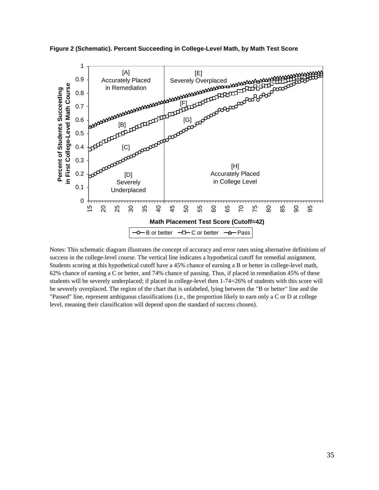

**Figure 2 (Schematic). Percent Succeeding in College-Level Math, by Math Test Score**

Notes: This schematic diagram illustrates the concept of accuracy and error rates using alternative definitions of success in the college-level course. The vertical line indicates a hypothetical cutoff for remedial assignment. Students scoring at this hypothetical cutoff have a 45% chance of earning a B or better in college-level math, 62% chance of earning a C or better, and 74% chance of passing. Thus, if placed in remediation 45% of these students will be severely underplaced; if placed in college-level then 1-74=26% of students with this score will be severely overplaced. The region of the chart that is unlabeled, lying between the "B or better" line and the "Passed" line, represent ambiguous classifications (i.e., the proportion likely to earn only a C or D at college level, meaning their classification will depend upon the standard of success chosen).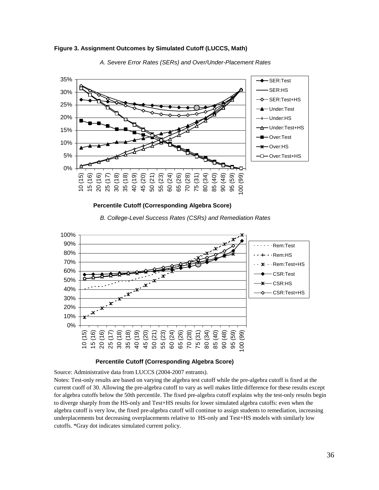

**Figure 3. Assignment Outcomes by Simulated Cutoff (LUCCS, Math)**



*A. Severe Error Rates (SERs) and Over/Under-Placement Rates*



*B. College-Level Success Rates (CSRs) and Remediation Rates*



#### **Percentile Cutoff (Corresponding Algebra Score)**

Source: Administrative data from LUCCS (2004-2007 entrants).

Notes: Test-only results are based on varying the algebra test cutoff while the pre-algebra cutoff is fixed at the current cuoff of 30. Allowing the pre-algebra cutoff to vary as well makes little difference for these results except for algebra cutoffs below the 50th percentile. The fixed pre-algebra cutoff explains why the test-only results begin to diverge sharply from the HS-only and Test+HS results for lower simulated algebra cutoffs: even when the algebra cutoff is very low, the fixed pre-algebra cutoff will continue to assign students to remediation, increasing underplacements but decreasing overplacements relative to HS-only and Test+HS models with similarly low cutoffs. \*Gray dot indicates simulated current policy.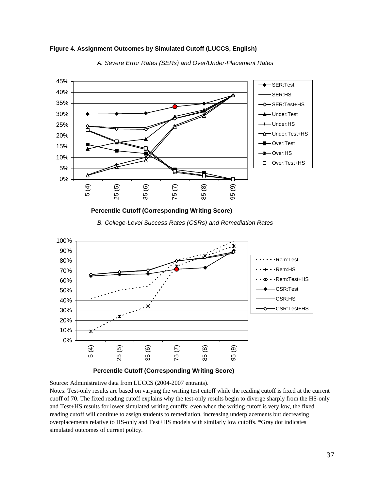

*A. Severe Error Rates (SERs) and Over/Under-Placement Rates*

**Figure 4. Assignment Outcomes by Simulated Cutoff (LUCCS, English)**

*B. College-Level Success Rates (CSRs) and Remediation Rates*



## **Percentile Cutoff (Corresponding Writing Score)**

Source: Administrative data from LUCCS (2004-2007 entrants).

Notes: Test-only results are based on varying the writing test cutoff while the reading cutoff is fixed at the current cuoff of 70. The fixed reading cutoff explains why the test-only results begin to diverge sharply from the HS-only and Test+HS results for lower simulated writing cutoffs: even when the writing cutoff is very low, the fixed reading cutoff will continue to assign students to remediation, increasing underplacements but decreasing overplacements relative to HS-only and Test+HS models with similarly low cutoffs. \*Gray dot indicates simulated outcomes of current policy.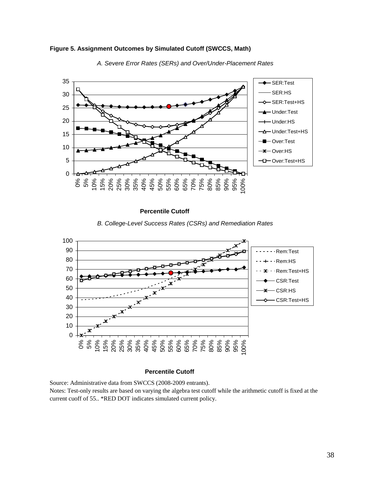



*A. Severe Error Rates (SERs) and Over/Under-Placement Rates*

**Percentile Cutoff** 

*B. College-Level Success Rates (CSRs) and Remediation Rates*



#### **Percentile Cutoff**

Source: Administrative data from SWCCS (2008-2009 entrants). Notes: Test-only results are based on varying the algebra test cutoff while the arithmetic cutoff is fixed at the current cuoff of 55.. \*RED DOT indicates simulated current policy.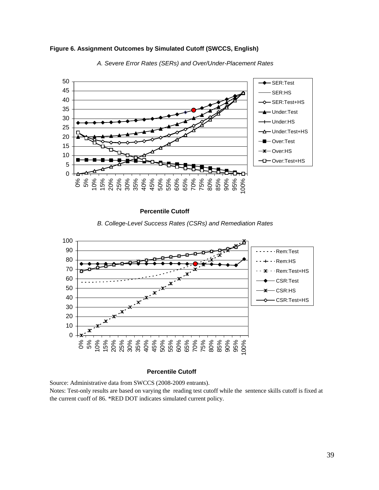



*A. Severe Error Rates (SERs) and Over/Under-Placement Rates*

**Percentile Cutoff** 

*B. College-Level Success Rates (CSRs) and Remediation Rates*



#### **Percentile Cutoff**

Source: Administrative data from SWCCS (2008-2009 entrants).

Notes: Test-only results are based on varying the reading test cutoff while the sentence skills cutoff is fixed at the current cuoff of 86. \*RED DOT indicates simulated current policy.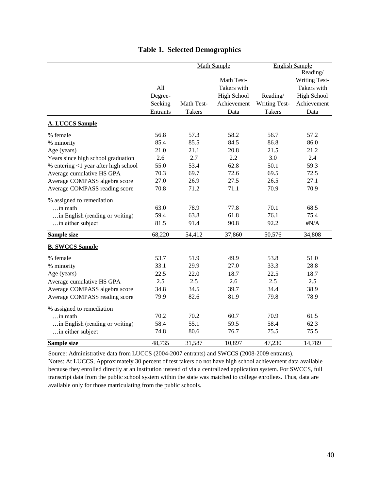|                                      |          |               | <b>Math Sample</b> | <b>English Sample</b><br>Reading/ |                    |  |
|--------------------------------------|----------|---------------|--------------------|-----------------------------------|--------------------|--|
|                                      |          |               | Math Test-         |                                   | Writing Test-      |  |
|                                      | All      |               | Takers with        |                                   | Takers with        |  |
|                                      | Degree-  |               | <b>High School</b> | Reading/                          | <b>High School</b> |  |
|                                      | Seeking  | Math Test-    | Achievement        | Writing Test-                     | Achievement        |  |
|                                      | Entrants | <b>Takers</b> | Data               | <b>Takers</b>                     | Data               |  |
| <b>A. LUCCS Sample</b>               |          |               |                    |                                   |                    |  |
| % female                             | 56.8     | 57.3          | 58.2               | 56.7                              | 57.2               |  |
| % minority                           | 85.4     | 85.5          | 84.5               | 86.8                              | 86.0               |  |
| Age (years)                          | 21.0     | 21.1          | 20.8               | 21.5                              | 21.2               |  |
| Years since high school graduation   | 2.6      | 2.7           | 2.2                | 3.0                               | 2.4                |  |
| % entering <1 year after high school | 55.0     | 53.4          | 62.8               | 50.1                              | 59.3               |  |
| Average cumulative HS GPA            | 70.3     | 69.7          | 72.6               | 69.5                              | 72.5               |  |
| Average COMPASS algebra score        | 27.0     | 26.9          | 27.5               | 26.5                              | 27.1               |  |
| Average COMPASS reading score        | 70.8     | 71.2          | 71.1               | 70.9                              | 70.9               |  |
| % assigned to remediation            |          |               |                    |                                   |                    |  |
| $\dots$ in math                      | 63.0     | 78.9          | 77.8               | 70.1                              | 68.5               |  |
| in English (reading or writing)      | 59.4     | 63.8          | 61.8               | 76.1                              | 75.4               |  |
| in either subject                    | 81.5     | 91.4          | 90.8               | 92.2                              | $\sharp N/A$       |  |
| Sample size                          | 68,220   | 54,412        | 37,860             | 50,576                            | 34,808             |  |
| <b>B. SWCCS Sample</b>               |          |               |                    |                                   |                    |  |
| % female                             | 53.7     | 51.9          | 49.9               | 53.8                              | 51.0               |  |
| % minority                           | 33.1     | 29.9          | 27.0               | 33.3                              | 28.8               |  |
| Age (years)                          | 22.5     | 22.0          | 18.7               | 22.5                              | 18.7               |  |
| Average cumulative HS GPA            | 2.5      | 2.5           | 2.6                | 2.5                               | 2.5                |  |
| Average COMPASS algebra score        | 34.8     | 34.5          | 39.7               | 34.4                              | 38.9               |  |
| Average COMPASS reading score        | 79.9     | 82.6          | 81.9               | 79.8                              | 78.9               |  |
| % assigned to remediation            |          |               |                    |                                   |                    |  |
| in math                              | 70.2     | 70.2          | 60.7               | 70.9                              | 61.5               |  |
| in English (reading or writing)      | 58.4     | 55.1          | 59.5               | 58.4                              | 62.3               |  |
| in either subject                    | 74.8     | 80.6          | 76.7               | 75.5                              | 75.5               |  |
| <b>Sample size</b>                   | 48,735   | 31,587        | 10,897             | 47,230                            | 14,789             |  |

## **Table 1. Selected Demographics**

Source: Administrative data from LUCCS (2004-2007 entrants) and SWCCS (2008-2009 entrants).

Notes: At LUCCS, Approximately 30 percent of test takers do not have high school achievement data available because they enrolled directly at an institution instead of via a centralized application system. For SWCCS, full transcript data from the public school system within the state was matched to college enrollees. Thus, data are available only for those matriculating from the public schools.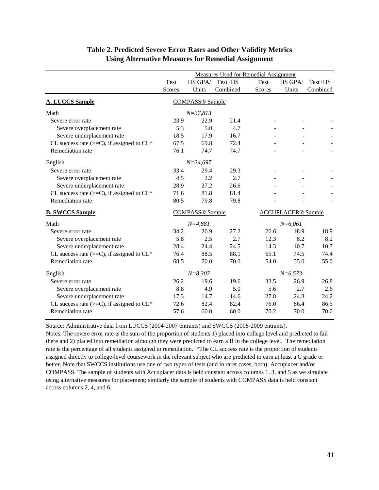|                                                 | <b>Measures Used for Remedial Assignment</b> |                        |          |        |                           |          |
|-------------------------------------------------|----------------------------------------------|------------------------|----------|--------|---------------------------|----------|
|                                                 | Test                                         | HS GPA/                | Test+HS  | Test   | HS GPA/                   | Test+HS  |
|                                                 | Scores                                       | Units                  | Combined | Scores | Units                     | Combined |
| <b>A. LUCCS Sample</b>                          |                                              | <b>COMPASS®</b> Sample |          |        |                           |          |
| Math                                            |                                              | $N = 37,813$           |          |        |                           |          |
| Severe error rate                               | 23.9                                         | 22.9                   | 21.4     |        |                           |          |
| Severe overplacement rate                       | 5.3                                          | 5.0                    | 4.7      |        |                           |          |
| Severe underplacement rate                      | 18.5                                         | 17.9                   | 16.7     |        |                           |          |
| CL success rate $(>=C)$ , if assigned to $CL^*$ | 67.5                                         | 69.8                   | 72.4     |        |                           |          |
| Remediation rate                                | 76.1                                         | 74.7                   | 74.7     |        |                           |          |
| English                                         |                                              | $N = 34,697$           |          |        |                           |          |
| Severe error rate                               | 33.4                                         | 29.4                   | 29.3     |        |                           |          |
| Severe overplacement rate                       | 4.5                                          | 2.2                    | 2.7      |        |                           |          |
| Severe underplacement rate                      | 28.9                                         | 27.2                   | 26.6     |        |                           |          |
| CL success rate $(>=C)$ , if assigned to $CL*$  | 71.6                                         | 81.8                   | 81.4     |        |                           |          |
| Remediation rate                                | 80.5                                         | 79.8                   | 79.8     |        |                           |          |
| <b>B. SWCCS Sample</b>                          |                                              | <b>COMPASS®</b> Sample |          |        | <b>ACCUPLACER®</b> Sample |          |
| Math                                            |                                              | $N = 4,881$            |          |        | $N=6,061$                 |          |
| Severe error rate                               | 34.2                                         | 26.9                   | 27.2     | 26.6   | 18.9                      | 18.9     |
| Severe overplacement rate                       | 5.8                                          | 2.5                    | 2.7      | 12.3   | 8.2                       | 8.2      |
| Severe underplacement rate                      | 28.4                                         | 24.4                   | 24.5     | 14.3   | 10.7                      | 10.7     |
| CL success rate $(>=C)$ , if assigned to $CL*$  | 76.4                                         | 88.5                   | 88.1     | 65.1   | 74.5                      | 74.4     |
| Remediation rate                                | 68.5                                         | 70.0                   | 70.0     | 54.0   | 55.0                      | 55.0     |
| English                                         | $N = 8,307$<br>$N = 6,573$                   |                        |          |        |                           |          |
| Severe error rate                               | 26.2                                         | 19.6                   | 19.6     | 33.5   | 26.9                      | 26.8     |
| Severe overplacement rate                       | 8.8                                          | 4.9                    | 5.0      | 5.6    | 2.7                       | 2.6      |
| Severe underplacement rate                      | 17.3                                         | 14.7                   | 14.6     | 27.8   | 24.3                      | 24.2     |
| CL success rate $(>=C)$ , if assigned to $CL*$  | 72.6                                         | 82.4                   | 82.4     | 76.0   | 86.4                      | 86.5     |
| Remediation rate                                | 57.6                                         | 60.0                   | 60.0     | 70.2   | 70.0                      | 70.0     |

## **Table 2. Predicted Severe Error Rates and Other Validity Metrics Using Alternative Measures for Remedial Assignment**

Source: Administrative data from LUCCS (2004-2007 entrants) and SWCCS (2008-2009 entrants).

Notes: The severe error rate is the sum of the proportion of students 1) placed into college level and predicted to fail there and 2) placed into remediation although they were predicted to earn a B in the college level. The remediation rate is the percentage of all students assigned to remediation. \*The CL success rate is the proportion of students assigned directly to college-level coursework in the relevant subject who are predicted to earn at least a C grade or better. Note that SWCCS institutions use one of two types of tests (and in rarer cases, both): Accuplacer and/or COMPASS. The sample of students with Accuplacer data is held constant across columns 1, 3, and 5 as we simulate using alternative measures for placement; similarly the sample of students with COMPASS data is held constant across columns 2, 4, and 6.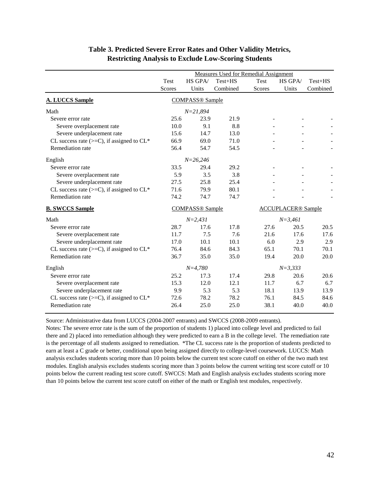|                                                 | Measures Used for Remedial Assignment |                        |           |        |                           |           |
|-------------------------------------------------|---------------------------------------|------------------------|-----------|--------|---------------------------|-----------|
|                                                 | Test                                  | HS GPA/                | $Test+HS$ | Test   | HS GPA/                   | $Test+HS$ |
|                                                 | Scores                                | Units                  | Combined  | Scores | Units                     | Combined  |
| <b>A. LUCCS Sample</b>                          | <b>COMPASS®</b> Sample                |                        |           |        |                           |           |
| Math                                            |                                       | $N = 21,894$           |           |        |                           |           |
| Severe error rate                               | 25.6                                  | 23.9                   | 21.9      |        |                           |           |
| Severe overplacement rate                       | 10.0                                  | 9.1                    | 8.8       |        |                           |           |
| Severe underplacement rate                      | 15.6                                  | 14.7                   | 13.0      |        |                           |           |
| CL success rate $(>=C)$ , if assigned to $CL*$  | 66.9                                  | 69.0                   | 71.0      |        |                           |           |
| Remediation rate                                | 56.4                                  | 54.7                   | 54.5      |        |                           |           |
| English                                         |                                       | $N = 26,246$           |           |        |                           |           |
| Severe error rate                               | 33.5                                  | 29.4                   | 29.2      |        |                           |           |
| Severe overplacement rate                       | 5.9                                   | 3.5                    | 3.8       |        |                           |           |
| Severe underplacement rate                      | 27.5                                  | 25.8                   | 25.4      |        |                           |           |
| CL success rate $(>=C)$ , if assigned to $CL*$  | 71.6                                  | 79.9                   | 80.1      |        |                           |           |
| Remediation rate                                | 74.2                                  | 74.7                   | 74.7      |        |                           |           |
| <b>B. SWCCS Sample</b>                          |                                       | <b>COMPASS®</b> Sample |           |        | <b>ACCUPLACER®</b> Sample |           |
| Math                                            |                                       | $N = 2,431$            |           |        | $N = 3,461$               |           |
| Severe error rate                               | 28.7                                  | 17.6                   | 17.8      | 27.6   | 20.5                      | 20.5      |
| Severe overplacement rate                       | 11.7                                  | 7.5                    | 7.6       | 21.6   | 17.6                      | 17.6      |
| Severe underplacement rate                      | 17.0                                  | 10.1                   | 10.1      | 6.0    | 2.9                       | 2.9       |
| CL success rate $(>=C)$ , if assigned to $CL^*$ | 76.4                                  | 84.6                   | 84.3      | 65.1   | 70.1                      | 70.1      |
| Remediation rate                                | 36.7                                  | 35.0                   | 35.0      | 19.4   | 20.0                      | 20.0      |
| English                                         | $N=4,780$                             |                        |           |        | $N = 3,333$               |           |
| Severe error rate                               | 25.2                                  | 17.3                   | 17.4      | 29.8   | 20.6                      | 20.6      |
| Severe overplacement rate                       | 15.3                                  | 12.0                   | 12.1      | 11.7   | 6.7                       | 6.7       |
| Severe underplacement rate                      | 9.9                                   | 5.3                    | 5.3       | 18.1   | 13.9                      | 13.9      |
| CL success rate $(>=C)$ , if assigned to $CL*$  | 72.6                                  | 78.2                   | 78.2      | 76.1   | 84.5                      | 84.6      |
| Remediation rate                                | 26.4                                  | 25.0                   | 25.0      | 38.1   | 40.0                      | 40.0      |

## **Table 3. Predicted Severe Error Rates and Other Validity Metrics, Restricting Analysis to Exclude Low-Scoring Students**

Source: Administrative data from LUCCS (2004-2007 entrants) and SWCCS (2008-2009 entrants).

Notes: The severe error rate is the sum of the proportion of students 1) placed into college level and predicted to fail there and 2) placed into remediation although they were predicted to earn a B in the college level. The remediation rate is the percentage of all students assigned to remediation. \*The CL success rate is the proportion of students predicted to earn at least a C grade or better, conditional upon being assigned directly to college-level coursework. LUCCS: Math analysis excludes students scoring more than 10 points below the current test score cutoff on either of the two math test modules. English analysis excludes students scoring more than 3 points below the current writing test score cutoff or 10 points below the current reading test score cutoff. SWCCS: Math and English analysis excludes students scoring more than 10 points below the current test score cutoff on either of the math or English test modules, respectively.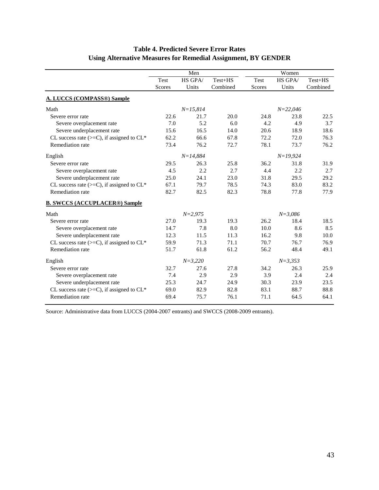|                                                |                            | Men          |             |               | Women        |          |  |  |
|------------------------------------------------|----------------------------|--------------|-------------|---------------|--------------|----------|--|--|
|                                                | HS GPA/<br>Test+HS<br>Test |              | <b>Test</b> | HS GPA/       | $Test+HS$    |          |  |  |
|                                                | Scores                     | Units        | Combined    | <b>Scores</b> | Units        | Combined |  |  |
| <b>A. LUCCS (COMPASS®) Sample</b>              |                            |              |             |               |              |          |  |  |
| Math                                           |                            | $N = 15,814$ |             |               | $N = 22,046$ |          |  |  |
| Severe error rate                              | 22.6                       | 21.7         | 20.0        | 24.8          | 23.8         | 22.5     |  |  |
| Severe overplacement rate                      | 7.0                        | 5.2          | 6.0         | 4.2           | 4.9          | 3.7      |  |  |
| Severe underplacement rate                     | 15.6                       | 16.5         | 14.0        | 20.6          | 18.9         | 18.6     |  |  |
| CL success rate $(>=C)$ , if assigned to $CL*$ | 62.2                       | 66.6         | 67.8        | 72.2          | 72.0         | 76.3     |  |  |
| Remediation rate                               | 73.4                       | 76.2         | 72.7        | 78.1          | 73.7         | 76.2     |  |  |
| English                                        |                            | $N = 14,884$ |             |               | $N=19,924$   |          |  |  |
| Severe error rate                              | 29.5                       | 26.3         | 25.8        | 36.2          | 31.8         | 31.9     |  |  |
| Severe overplacement rate                      | 4.5                        | 2.2          | 2.7         | 4.4           | 2.2          | 2.7      |  |  |
| Severe underplacement rate                     | 25.0                       | 24.1         | 23.0        | 31.8          | 29.5         | 29.2     |  |  |
| CL success rate $(>=C)$ , if assigned to $CL*$ | 67.1                       | 79.7         | 78.5        | 74.3          | 83.0         | 83.2     |  |  |
| Remediation rate                               | 82.7                       | 82.5         | 82.3        | 78.8          | 77.8         | 77.9     |  |  |
| <b>B. SWCCS (ACCUPLACER®) Sample</b>           |                            |              |             |               |              |          |  |  |
| Math                                           |                            | $N = 2,975$  |             |               | $N = 3,086$  |          |  |  |
| Severe error rate                              | 27.0                       | 19.3         | 19.3        | 26.2          | 18.4         | 18.5     |  |  |
| Severe overplacement rate                      | 14.7                       | 7.8          | 8.0         | 10.0          | 8.6          | 8.5      |  |  |
| Severe underplacement rate                     | 12.3                       | 11.5         | 11.3        | 16.2          | 9.8          | 10.0     |  |  |
| CL success rate $(>=C)$ , if assigned to $CL*$ | 59.9                       | 71.3         | 71.1        | 70.7          | 76.7         | 76.9     |  |  |
| Remediation rate                               | 51.7                       | 61.8         | 61.2        | 56.2          | 48.4         | 49.1     |  |  |
| English                                        |                            | $N = 3,220$  |             |               | $N = 3,353$  |          |  |  |
| Severe error rate                              | 32.7                       | 27.6         | 27.8        | 34.2          | 26.3         | 25.9     |  |  |
| Severe overplacement rate                      | 7.4                        | 2.9          | 2.9         | 3.9           | 2.4          | 2.4      |  |  |
| Severe underplacement rate                     | 25.3                       | 24.7         | 24.9        | 30.3          | 23.9         | 23.5     |  |  |
| CL success rate $(>=C)$ , if assigned to $CL*$ | 69.0                       | 82.9         | 82.8        | 83.1          | 88.7         | 88.8     |  |  |
| Remediation rate                               | 69.4                       | 75.7         | 76.1        | 71.1          | 64.5         | 64.1     |  |  |

## **Table 4. Predicted Severe Error Rates Using Alternative Measures for Remedial Assignment, BY GENDER**

Source: Administrative data from LUCCS (2004-2007 entrants) and SWCCS (2008-2009 entrants).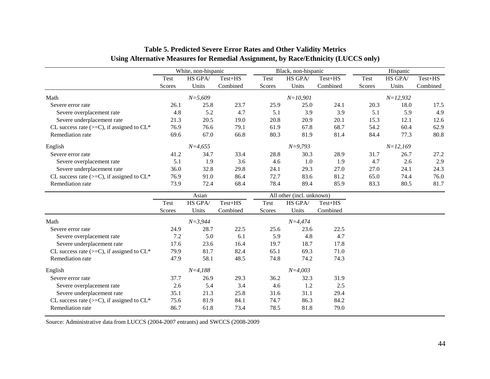|                                                 |        | White, non-hispanic |           |                           | Black, non-hispanic |          |        | Hispanic     |          |
|-------------------------------------------------|--------|---------------------|-----------|---------------------------|---------------------|----------|--------|--------------|----------|
|                                                 | Test   | HS GPA/             | $Test+HS$ | Test                      | HS GPA/             | Test+HS  | Test   | HS GPA/      | Test+HS  |
|                                                 | Scores | Units               | Combined  | Scores                    | Units               | Combined | Scores | Units        | Combined |
| Math                                            |        | $N = 5,609$         |           |                           | $N = 10,901$        |          |        | $N = 12,932$ |          |
| Severe error rate                               | 26.1   | 25.8                | 23.7      | 25.9                      | 25.0                | 24.1     | 20.3   | 18.0         | 17.5     |
| Severe overplacement rate                       | 4.8    | 5.2                 | 4.7       | 5.1                       | 3.9                 | 3.9      | 5.1    | 5.9          | 4.9      |
| Severe underplacement rate                      | 21.3   | 20.5                | 19.0      | 20.8                      | 20.9                | 20.1     | 15.3   | 12.1         | 12.6     |
| CL success rate $(>=C)$ , if assigned to $CL^*$ | 76.9   | 76.6                | 79.1      | 61.9                      | 67.8                | 68.7     | 54.2   | 60.4         | 62.9     |
| Remediation rate                                | 69.6   | 67.0                | 66.8      | 80.3                      | 81.9                | 81.4     | 84.4   | 77.3         | 80.8     |
| English                                         |        | $N=4,655$           |           |                           | $N=9,793$           |          |        | $N=12,169$   |          |
| Severe error rate                               | 41.2   | 34.7                | 33.4      | 28.8                      | 30.3                | 28.9     | 31.7   | 26.7         | 27.2     |
| Severe overplacement rate                       | 5.1    | 1.9                 | 3.6       | 4.6                       | 1.0                 | 1.9      | 4.7    | 2.6          | 2.9      |
| Severe underplacement rate                      | 36.0   | 32.8                | 29.8      | 24.1                      | 29.3                | 27.0     | 27.0   | 24.1         | 24.3     |
| CL success rate $(>=C)$ , if assigned to $CL*$  | 76.9   | 91.0                | 86.4      | 72.7                      | 83.6                | 81.2     | 65.0   | 74.4         | 76.0     |
| Remediation rate                                | 73.9   | 72.4                | 68.4      | 78.4                      | 89.4                | 85.9     | 83.3   | 80.5         | 81.7     |
|                                                 | Asian  |                     |           | All other (incl. unknown) |                     |          |        |              |          |
|                                                 | Test   | HS GPA/             | Test+HS   | Test                      | HS GPA/             | Test+HS  |        |              |          |
|                                                 | Scores | Units               | Combined  | Scores                    | Units               | Combined |        |              |          |
| Math                                            |        | $N = 3,944$         |           |                           | $N = 4,474$         |          |        |              |          |
| Severe error rate                               | 24.9   | 28.7                | 22.5      | 25.6                      | 23.6                | 22.5     |        |              |          |
| Severe overplacement rate                       | 7.2    | 5.0                 | 6.1       | 5.9                       | 4.8                 | 4.7      |        |              |          |
| Severe underplacement rate                      | 17.6   | 23.6                | 16.4      | 19.7                      | 18.7                | 17.8     |        |              |          |
| CL success rate $(>=C)$ , if assigned to $CL*$  | 79.9   | 81.7                | 82.4      | 65.1                      | 69.3                | 71.0     |        |              |          |
| Remediation rate                                | 47.9   | 58.1                | 48.5      | 74.8                      | 74.2                | 74.3     |        |              |          |
| English                                         |        | $N = 4,188$         |           |                           | $N=4,003$           |          |        |              |          |
| Severe error rate                               | 37.7   | 26.9                | 29.3      | 36.2                      | 32.3                | 31.9     |        |              |          |
| Severe overplacement rate                       | 2.6    | 5.4                 | 3.4       | 4.6                       | 1.2                 | 2.5      |        |              |          |
| Severe underplacement rate                      | 35.1   | 21.3                | 25.8      | 31.6                      | 31.1                | 29.4     |        |              |          |
| CL success rate $(>=C)$ , if assigned to $CL*$  | 75.6   | 81.9                | 84.1      | 74.7                      | 86.3                | 84.2     |        |              |          |
| Remediation rate                                | 86.7   | 61.8                | 73.4      | 78.5                      | 81.8                | 79.0     |        |              |          |

## **Table 5. Predicted Severe Error Rates and Other Validity Metrics Using Alternative Measures for Remedial Assignment, by Race/Ethnicity (LUCCS only)**

Source: Administrative data from LUCCS (2004-2007 entrants) and SWCCS (2008-2009